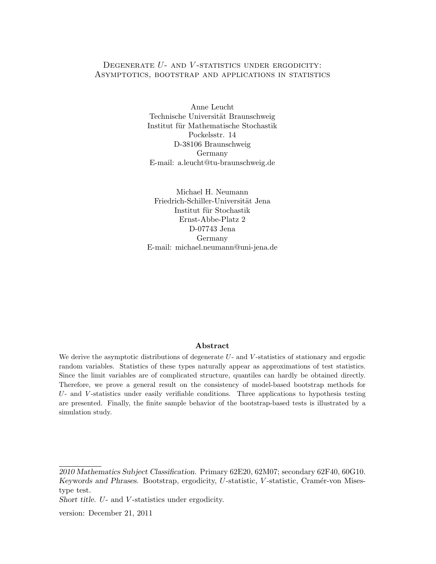# DEGENERATE  $U$ - AND  $V$ -STATISTICS UNDER ERGODICITY: Asymptotics, bootstrap and applications in statistics

Anne Leucht Technische Universität Braunschweig Institut für Mathematische Stochastik Pockelsstr. 14 D-38106 Braunschweig Germany E-mail: a.leucht@tu-braunschweig.de

Michael H. Neumann Friedrich-Schiller-Universität Jena Institut für Stochastik Ernst-Abbe-Platz 2 D-07743 Jena Germany E-mail: michael.neumann@uni-jena.de

## Abstract

We derive the asymptotic distributions of degenerate U- and V-statistics of stationary and ergodic random variables. Statistics of these types naturally appear as approximations of test statistics. Since the limit variables are of complicated structure, quantiles can hardly be obtained directly. Therefore, we prove a general result on the consistency of model-based bootstrap methods for  $U$ - and  $V$ -statistics under easily verifiable conditions. Three applications to hypothesis testing are presented. Finally, the finite sample behavior of the bootstrap-based tests is illustrated by a simulation study.

<sup>2010</sup> Mathematics Subject Classification. Primary 62E20, 62M07; secondary 62F40, 60G10. Keywords and Phrases. Bootstrap, ergodicity, U-statistic, V-statistic, Cramér-von Misestype test.

Short title. U- and V -statistics under ergodicity.

version: December 21, 2011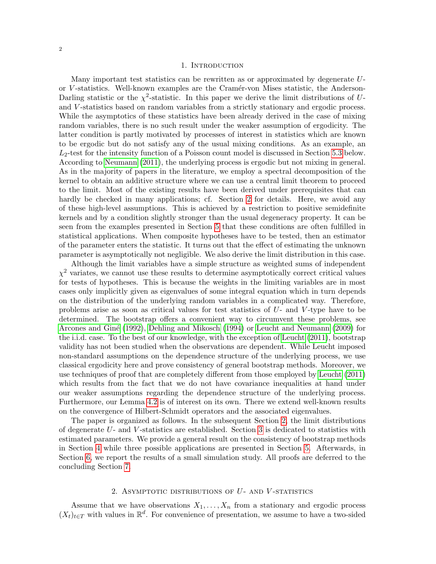### 1. INTRODUCTION

Many important test statistics can be rewritten as or approximated by degenerate Uor V -statistics. Well-known examples are the Cram´er-von Mises statistic, the Anderson-Darling statistic or the  $\chi^2$ -statistic. In this paper we derive the limit distributions of Uand V -statistics based on random variables from a strictly stationary and ergodic process. While the asymptotics of these statistics have been already derived in the case of mixing random variables, there is no such result under the weaker assumption of ergodicity. The latter condition is partly motivated by processes of interest in statistics which are known to be ergodic but do not satisfy any of the usual mixing conditions. As an example, an  $L_2$ -test for the intensity function of a Poisson count model is discussed in Section [5.3](#page-12-0) below. According to [Neumann](#page-29-0) [\(2011\)](#page-29-0), the underlying process is ergodic but not mixing in general. As in the majority of papers in the literature, we employ a spectral decomposition of the kernel to obtain an additive structure where we can use a central limit theorem to proceed to the limit. Most of the existing results have been derived under prerequisites that can hardly be checked in many applications; cf. Section [2](#page-1-0) for details. Here, we avoid any of these high-level assumptions. This is achieved by a restriction to positive semidefinite kernels and by a condition slightly stronger than the usual degeneracy property. It can be seen from the examples presented in Section [5](#page-8-0) that these conditions are often fulfilled in statistical applications. When composite hypotheses have to be tested, then an estimator of the parameter enters the statistic. It turns out that the effect of estimating the unknown parameter is asymptotically not negligible. We also derive the limit distribution in this case.

Although the limit variables have a simple structure as weighted sums of independent  $\chi^2$  variates, we cannot use these results to determine asymptotically correct critical values for tests of hypotheses. This is because the weights in the limiting variables are in most cases only implicitly given as eigenvalues of some integral equation which in turn depends on the distribution of the underlying random variables in a complicated way. Therefore, problems arise as soon as critical values for test statistics of  $U$ - and  $V$ -type have to be determined. The bootstrap offers a convenient way to circumvent these problems, see [Arcones and Gin´e](#page-27-0) [\(1992\)](#page-27-0), [Dehling and Mikosch](#page-28-0) [\(1994\)](#page-28-0) or [Leucht and Neumann](#page-29-1) [\(2009\)](#page-29-1) for the i.i.d. case. To the best of our knowledge, with the exception of [Leucht](#page-29-2) [\(2011\)](#page-29-2), bootstrap validity has not been studied when the observations are dependent. While Leucht imposed non-standard assumptions on the dependence structure of the underlying process, we use classical ergodicity here and prove consistency of general bootstrap methods. Moreover, we use techniques of proof that are completely different from those employed by [Leucht](#page-29-2) [\(2011\)](#page-29-2) which results from the fact that we do not have covariance inequalities at hand under our weaker assumptions regarding the dependence structure of the underlying process. Furthermore, our Lemma [4.2](#page-7-0) is of interest on its own. There we extend well-known results on the convergence of Hilbert-Schmidt operators and the associated eigenvalues.

The paper is organized as follows. In the subsequent Section [2,](#page-1-0) the limit distributions of degenerate U- and V -statistics are established. Section [3](#page-4-0) is dedicated to statistics with estimated parameters. We provide a general result on the consistency of bootstrap methods in Section [4](#page-6-0) while three possible applications are presented in Section [5.](#page-8-0) Afterwards, in Section [6,](#page-15-0) we report the results of a small simulation study. All proofs are deferred to the concluding Section [7.](#page-16-0)

## 2. ASYMPTOTIC DISTRIBUTIONS OF  $U$ - AND  $V$ -STATISTICS

<span id="page-1-0"></span>Assume that we have observations  $X_1, \ldots, X_n$  from a stationary and ergodic process  $(X_t)_{t\in T}$  with values in  $\mathbb{R}^d$ . For convenience of presentation, we assume to have a two-sided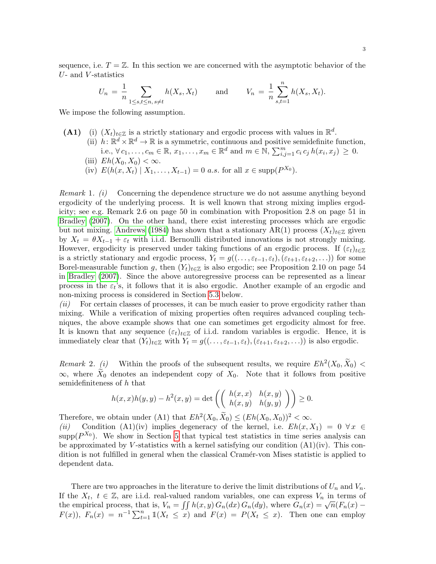sequence, i.e.  $T = \mathbb{Z}$ . In this section we are concerned with the asymptotic behavior of the  $U$ - and  $V$ -statistics

$$
U_n = \frac{1}{n} \sum_{1 \le s,t \le n, s \ne t} h(X_s, X_t)
$$
 and  $V_n = \frac{1}{n} \sum_{s,t=1}^n h(X_s, X_t).$ 

We impose the following assumption.

- (A1) (i)  $(X_t)_{t\in\mathbb{Z}}$  is a strictly stationary and ergodic process with values in  $\mathbb{R}^d$ .
	- (ii)  $h: \mathbb{R}^d \times \mathbb{R}^d \to \mathbb{R}$  is a symmetric, continuous and positive semidefinite function, i.e.,  $\forall c_1, \ldots, c_m \in \mathbb{R}, x_1, \ldots, x_m \in \mathbb{R}^d$  and  $m \in \mathbb{N}, \sum_{i,j=1}^m c_i c_j h(x_i, x_j) \geq 0$ .
	- (iii)  $Eh(X_0, X_0) < \infty$ .
	- (iv)  $E(h(x, X_t) | X_1, \ldots, X_{t-1}) = 0$  *a.s.* for all  $x \in \text{supp}(P^{X_0})$ .

*Remark* 1.  $(i)$  Concerning the dependence structure we do not assume anything beyond ergodicity of the underlying process. It is well known that strong mixing implies ergodicity; see e.g. Remark 2.6 on page 50 in combination with Proposition 2.8 on page 51 in [Bradley](#page-28-1) [\(2007\)](#page-28-1). On the other hand, there exist interesting processes which are ergodic but not mixing. [Andrews](#page-27-1) [\(1984\)](#page-27-1) has shown that a stationary AR(1) process  $(X_t)_{t\in\mathbb{Z}}$  given by  $X_t = \theta X_{t-1} + \varepsilon_t$  with i.i.d. Bernoulli distributed innovations is not strongly mixing. However, ergodicity is preserved under taking functions of an ergodic process. If  $(\varepsilon_t)_{t\in\mathbb{Z}}$ is a strictly stationary and ergodic process,  $Y_t = g((\ldots, \varepsilon_{t-1}, \varepsilon_t),(\varepsilon_{t+1}, \varepsilon_{t+2}, \ldots))$  for some Borel-measurable function g, then  $(Y_t)_{t \in \mathbb{Z}}$  is also ergodic; see Proposition 2.10 on page 54 in [Bradley](#page-28-1) [\(2007\)](#page-28-1). Since the above autoregressive process can be represented as a linear process in the  $\varepsilon_t$ 's, it follows that it is also ergodic. Another example of an ergodic and non-mixing process is considered in Section [5.3](#page-12-0) below.

 $(ii)$  For certain classes of processes, it can be much easier to prove ergodicity rather than mixing. While a verification of mixing properties often requires advanced coupling techniques, the above example shows that one can sometimes get ergodicity almost for free. It is known that any sequence  $(\varepsilon_t)_{t\in\mathbb{Z}}$  of i.i.d. random variables is ergodic. Hence, it is immediately clear that  $(Y_t)_{t\in\mathbb{Z}}$  with  $Y_t = g((\ldots, \varepsilon_{t-1}, \varepsilon_t),(\varepsilon_{t+1}, \varepsilon_{t+2}, \ldots))$  is also ergodic.

<span id="page-2-0"></span>Remark 2. (i) Within the proofs of the subsequent results, we require  $Eh^2(X_0, \tilde{X}_0)$  <  $\infty$ , where  $\tilde{X}_0$  denotes an independent copy of  $X_0$ . Note that it follows from positive semidefiniteness of h that

$$
h(x,x)h(y,y) - h^{2}(x,y) = \det \left( \begin{pmatrix} h(x,x) & h(x,y) \\ h(x,y) & h(y,y) \end{pmatrix} \right) \ge 0.
$$

Therefore, we obtain under (A1) that  $Eh^2(X_0, \tilde{X}_0) \leq (Eh(X_0, X_0))^2 < \infty$ .

(ii) Condition (A1)(iv) implies degeneracy of the kernel, i.e.  $Eh(x, X_1) = 0 \ \forall x \in$ supp $(P^{X_0})$ . We show in Section [5](#page-8-0) that typical test statistics in time series analysis can be approximated by V-statistics with a kernel satisfying our condition  $(A1)(iv)$ . This condition is not fulfilled in general when the classical Cram´er-von Mises statistic is applied to dependent data.

There are two approaches in the literature to derive the limit distributions of  $U_n$  and  $V_n$ . If the  $X_t$ ,  $t \in \mathbb{Z}$ , are i.i.d. real-valued random variables, one can express  $V_n$  in terms of the  $A_t$ ,  $t \in \mathbb{Z}$ , are i.i.d. real-valued random variables, one can express  $v_n$  in terms of the empirical process, that is,  $V_n = \iint h(x, y) G_n(dx) G_n(dy)$ , where  $G_n(x) = \sqrt{n} (F_n(x) F(x)$ ,  $F_n(x) = n^{-1} \sum_{t=1}^n \mathbb{1}(X_t \leq x)$  and  $F(x) = P(X_t \leq x)$ . Then one can employ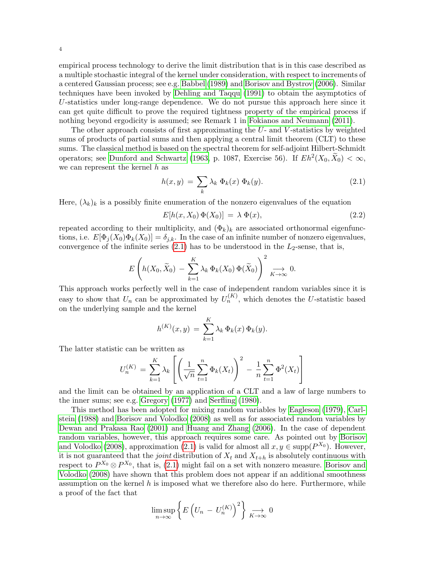empirical process technology to derive the limit distribution that is in this case described as a multiple stochastic integral of the kernel under consideration, with respect to increments of a centered Gaussian process; see e.g. [Babbel](#page-27-2) [\(1989\)](#page-27-2) and [Borisov and Bystrov](#page-27-3) [\(2006\)](#page-27-3). Similar techniques have been invoked by [Dehling and Taqqu](#page-28-2) [\(1991\)](#page-28-2) to obtain the asymptotics of U-statistics under long-range dependence. We do not pursue this approach here since it can get quite difficult to prove the required tightness property of the empirical process if nothing beyond ergodicity is assumed; see Remark 1 in [Fokianos and Neumann](#page-28-3) [\(2011\)](#page-28-3).

The other approach consists of first approximating the  $U$ - and  $V$ -statistics by weighted sums of products of partial sums and then applying a central limit theorem (CLT) to these sums. The classical method is based on the spectral theorem for self-adjoint Hilbert-Schmidt operators; see [Dunford and Schwartz](#page-28-4) [\(1963,](#page-28-4) p. 1087, Exercise 56). If  $Eh^2(X_0, \tilde{X}_0) < \infty$ , we can represent the kernel  $h$  as

<span id="page-3-0"></span>
$$
h(x,y) = \sum_{k} \lambda_k \, \Phi_k(x) \, \Phi_k(y). \tag{2.1}
$$

Here,  $(\lambda_k)_k$  is a possibly finite enumeration of the nonzero eigenvalues of the equation

<span id="page-3-1"></span>
$$
E[h(x, X_0) \Phi(X_0)] = \lambda \Phi(x), \qquad (2.2)
$$

repeated according to their multiplicity, and  $(\Phi_k)_k$  are associated orthonormal eigenfunctions, i.e.  $E[\Phi_i(X_0)\Phi_k(X_0)] = \delta_{i,k}$ . In the case of an infinite number of nonzero eigenvalues, convergence of the infinite series  $(2.1)$  has to be understood in the  $L_2$ -sense, that is,

$$
E\left(h(X_0, \widetilde{X}_0) - \sum_{k=1}^K \lambda_k \Phi_k(X_0) \Phi(\widetilde{X}_0)\right)^2 \underset{K \to \infty}{\longrightarrow} 0.
$$

This approach works perfectly well in the case of independent random variables since it is easy to show that  $U_n$  can be approximated by  $U_n^{(K)}$ , which denotes the U-statistic based on the underlying sample and the kernel

$$
h^{(K)}(x,y) = \sum_{k=1}^{K} \lambda_k \, \Phi_k(x) \, \Phi_k(y).
$$

The latter statistic can be written as

$$
U_n^{(K)} = \sum_{k=1}^K \lambda_k \left[ \left( \frac{1}{\sqrt{n}} \sum_{t=1}^n \Phi_k(X_t) \right)^2 - \frac{1}{n} \sum_{t=1}^n \Phi^2(X_t) \right]
$$

and the limit can be obtained by an application of a CLT and a law of large numbers to the inner sums; see e.g. [Gregory](#page-28-5) [\(1977\)](#page-28-5) and [Serfling](#page-29-3) [\(1980\)](#page-29-3).

This method has been adopted for mixing random variables by [Eagleson](#page-28-6) [\(1979\)](#page-28-6), [Carl](#page-28-7)[stein](#page-28-7) [\(1988\)](#page-28-7) and [Borisov and Volodko](#page-28-8) [\(2008\)](#page-28-8) as well as for associated random variables by [Dewan and Prakasa Rao](#page-28-9) [\(2001\)](#page-28-9) and [Huang and Zhang](#page-28-10) [\(2006\)](#page-28-10). In the case of dependent random variables, however, this approach requires some care. As pointed out by [Borisov](#page-28-8) [and Volodko](#page-28-8) [\(2008\)](#page-28-8), approximation [\(2.1\)](#page-3-0) is valid for almost all  $x, y \in \text{supp}(P^{X_0})$ . However, it is not guaranteed that the *joint* distribution of  $X_t$  and  $X_{t+h}$  is absolutely continuous with respect to  $P^{X_0} \otimes P^{X_0}$ , that is, [\(2.1\)](#page-3-0) might fail on a set with nonzero measure. [Borisov and](#page-28-8) [Volodko](#page-28-8) [\(2008\)](#page-28-8) have shown that this problem does not appear if an additional smoothness assumption on the kernel  $h$  is imposed what we therefore also do here. Furthermore, while a proof of the fact that

$$
\limsup_{n\to\infty}\left\{E\left(U_n-U_n^{(K)}\right)^2\right\}\underset{K\to\infty}{\longrightarrow}0
$$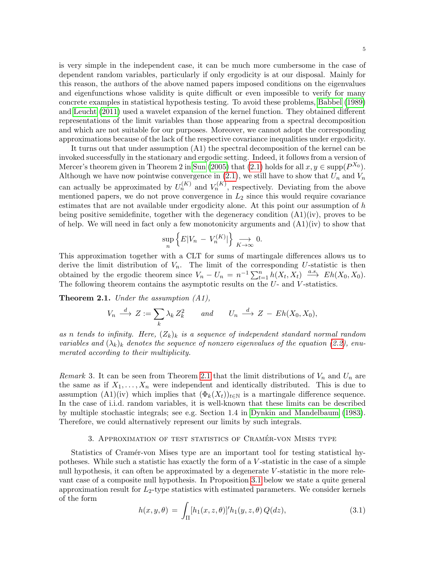is very simple in the independent case, it can be much more cumbersome in the case of dependent random variables, particularly if only ergodicity is at our disposal. Mainly for this reason, the authors of the above named papers imposed conditions on the eigenvalues and eigenfunctions whose validity is quite difficult or even impossible to verify for many concrete examples in statistical hypothesis testing. To avoid these problems, [Babbel](#page-27-2) [\(1989\)](#page-27-2) and [Leucht](#page-29-2) [\(2011\)](#page-29-2) used a wavelet expansion of the kernel function. They obtained different representations of the limit variables than those appearing from a spectral decomposition and which are not suitable for our purposes. Moreover, we cannot adopt the corresponding approximations because of the lack of the respective covariance inequalities under ergodicity.

It turns out that under assumption (A1) the spectral decomposition of the kernel can be invoked successfully in the stationary and ergodic setting. Indeed, it follows from a version of Mercer's theorem given in Theorem 2 in [Sun](#page-29-4) [\(2005\)](#page-29-4) that [\(2.1\)](#page-3-0) holds for all  $x, y \in \text{supp}(P^{X_0})$ . Although we have now pointwise convergence in  $(2.1)$ , we still have to show that  $U_n$  and  $V_n$ can actually be approximated by  $U_n^{(K)}$  and  $V_n^{(K)}$ , respectively. Deviating from the above mentioned papers, we do not prove convergence in  $L_2$  since this would require covariance estimates that are not available under ergodicity alone. At this point our assumption of  $h$ being positive semidefinite, together with the degeneracy condition  $(A1)(iv)$ , proves to be of help. We will need in fact only a few monotonicity arguments and  $(A1)(iv)$  to show that

$$
\sup_{n} \left\{ E|V_n - V_n^{(K)}| \right\} \underset{K \to \infty}{\longrightarrow} 0.
$$

This approximation together with a CLT for sums of martingale differences allows us to derive the limit distribution of  $V_n$ . The limit of the corresponding U-statistic is then obtained by the ergodic theorem since  $V_n - U_n = n^{-1} \sum_{t=1}^n h(X_t, X_t) \stackrel{a.s.}{\longrightarrow} Eh(X_0, X_0)$ . The following theorem contains the asymptotic results on the  $U$ - and  $V$ -statistics.

<span id="page-4-1"></span>**Theorem 2.1.** Under the assumption  $(A1)$ ,

$$
V_n \stackrel{d}{\longrightarrow} Z := \sum_k \lambda_k Z_k^2 \qquad and \qquad U_n \stackrel{d}{\longrightarrow} Z - Eh(X_0, X_0),
$$

as n tends to infinity. Here,  $(Z_k)_k$  is a sequence of independent standard normal random variables and  $(\lambda_k)_k$  denotes the sequence of nonzero eigenvalues of the equation [\(2.2\)](#page-3-1), enumerated according to their multiplicity.

Remark 3. It can be seen from Theorem [2.1](#page-4-1) that the limit distributions of  $V_n$  and  $U_n$  are the same as if  $X_1, \ldots, X_n$  were independent and identically distributed. This is due to assumption (A1)(iv) which implies that  $(\Phi_k(X_t))_{t\in\mathbb{N}}$  is a martingale difference sequence. In the case of i.i.d. random variables, it is well-known that these limits can be described by multiple stochastic integrals; see e.g. Section 1.4 in [Dynkin and Mandelbaum](#page-28-11) [\(1983\)](#page-28-11). Therefore, we could alternatively represent our limits by such integrals.

## 3. APPROXIMATION OF TEST STATISTICS OF CRAMÉR-VON MISES TYPE

<span id="page-4-0"></span>Statistics of Cramér-von Mises type are an important tool for testing statistical hypotheses. While such a statistic has exactly the form of a V -statistic in the case of a simple null hypothesis, it can often be approximated by a degenerate V-statistic in the more relevant case of a composite null hypothesis. In Proposition [3.1](#page-5-0) below we state a quite general approximation result for  $L_2$ -type statistics with estimated parameters. We consider kernels of the form

$$
h(x, y, \theta) = \int_{\Pi} [h_1(x, z, \theta)]' h_1(y, z, \theta) Q(dz), \qquad (3.1)
$$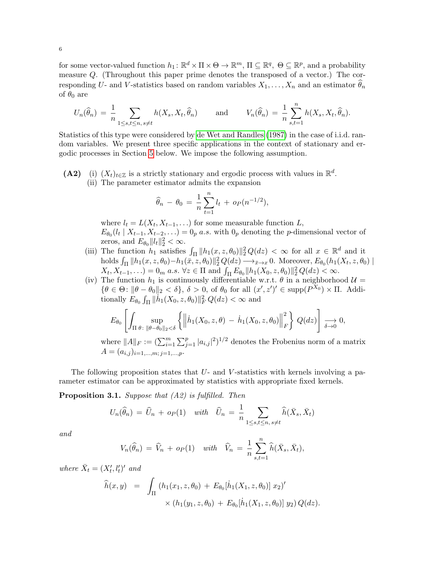for some vector-valued function  $h_1: \mathbb{R}^d \times \Pi \times \Theta \to \mathbb{R}^m$ ,  $\Pi \subseteq \mathbb{R}^q$ ,  $\Theta \subseteq \mathbb{R}^p$ , and a probability measure Q. (Throughout this paper prime denotes the transposed of a vector.) The corresponding U- and V-statistics based on random variables  $X_1, \ldots, X_n$  and an estimator  $\theta_n$ of  $\theta_0$  are

$$
U_n(\widehat{\theta}_n) = \frac{1}{n} \sum_{1 \leq s,t \leq n, s \neq t} h(X_s, X_t, \widehat{\theta}_n) \quad \text{and} \quad V_n(\widehat{\theta}_n) = \frac{1}{n} \sum_{s,t=1}^n h(X_s, X_t, \widehat{\theta}_n).
$$

Statistics of this type were considered by [de Wet and Randles](#page-28-12) [\(1987\)](#page-28-12) in the case of i.i.d. random variables. We present three specific applications in the context of stationary and ergodic processes in Section [5](#page-8-0) below. We impose the following assumption.

(A2) (i)  $(X_t)_{t\in\mathbb{Z}}$  is a strictly stationary and ergodic process with values in  $\mathbb{R}^d$ . (ii) The parameter estimator admits the expansion

$$
\widehat{\theta}_n - \theta_0 = \frac{1}{n} \sum_{t=1}^n l_t + o_P(n^{-1/2}),
$$

where  $l_t = L(X_t, X_{t-1}, \ldots)$  for some measurable function  $L$ ,  $E_{\theta_0}(l_t | X_{t-1}, X_{t-2}, ...) = 0_p a.s.$  with  $0_p$  denoting the *p*-dimensional vector of zeros, and  $E_{\theta_0} ||l_t||_2^2 < \infty$ .

- (iii) The function  $h_1$  satisfies  $\int_{\Pi} ||h_1(x, z, \theta_0)||_2^2 Q(dz) < \infty$  for all  $x \in \mathbb{R}^d$  and it holds  $\int_{\Pi} ||h_1(x, z, \theta_0) - h_1(\bar{x}, z, \theta_0)||_2^2 Q(dz) \longrightarrow_{\bar{x}\to x} 0$ . Moreover,  $E_{\theta_0}(h_1(X_t, z, \theta_0))$  $X_t, X_{t-1}, \ldots$  = 0<sub>m</sub> a.s.  $\forall z \in \Pi$  and  $\int_{\Pi} E_{\theta_0} ||h_1(X_0, z, \theta_0)||_2^2 Q(dz) < \infty$ .
- (iv) The function  $h_1$  is continuously differentiable w.r.t.  $\theta$  in a neighborhood  $\mathcal{U} =$  $\{\theta \in \Theta: ||\theta - \theta_0||_2 < \delta\}, \delta > 0, \text{ of } \theta_0 \text{ for all } (x', z')' \in \text{supp}(P^{X_0}) \times \Pi.$  Additionally  $E_{\theta_0} \int_{\Pi} ||h_1(X_0, z, \theta_0)||_F^2 Q(dz) < \infty$  and

$$
E_{\theta_0}\left[\int_{\Pi \theta \colon \|\theta-\theta_0\|_2 < \delta} \left\{\left\| \dot{h}_1(X_0,z,\theta) - \dot{h}_1(X_0,z,\theta_0) \right\|_F^2 \right\} Q(dz)\right] \underset{\delta \to 0}{\longrightarrow} 0,
$$

where  $||A||_F := (\sum_{i=1}^m \sum_{j=1}^p |a_{i,j}|^2)^{1/2}$  denotes the Frobenius norm of a matrix  $A = (a_{i,j})_{i=1,\dots,m;\; i=1,\dots,p}.$ 

The following proposition states that  $U$ - and  $V$ -statistics with kernels involving a parameter estimator can be approximated by statistics with appropriate fixed kernels.

<span id="page-5-0"></span>**Proposition 3.1.** Suppose that  $(A2)$  is fulfilled. Then

$$
U_n(\widehat{\theta}_n) = \widehat{U}_n + o_P(1) \quad with \quad \widehat{U}_n = \frac{1}{n} \sum_{1 \le s, t \le n, s \neq t} \widehat{h}(\bar{X}_s, \bar{X}_t)
$$

and

$$
V_n(\widehat{\theta}_n) = \widehat{V}_n + o_P(1) \quad \text{with} \quad \widehat{V}_n = \frac{1}{n} \sum_{s,t=1}^n \widehat{h}(\bar{X}_s, \bar{X}_t),
$$

where  $\bar{X}_t = (X'_t, l'_t)'$  and

$$
\widehat{h}(x,y) = \int_{\Pi} (h_1(x_1, z, \theta_0) + E_{\theta_0}[\dot{h}_1(X_1, z, \theta_0)] x_2)' \times (h_1(y_1, z, \theta_0) + E_{\theta_0}[\dot{h}_1(X_1, z, \theta_0)] y_2) Q(dz).
$$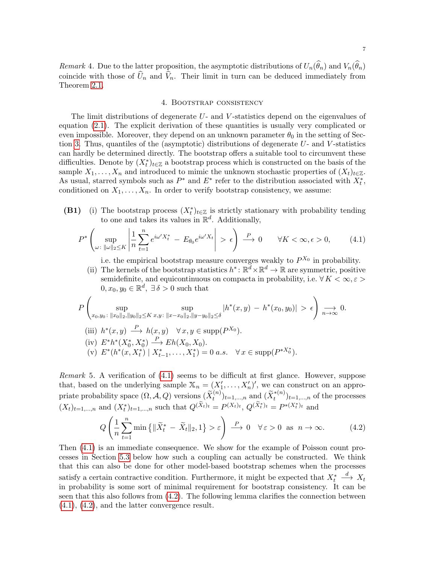<span id="page-6-3"></span>Remark 4. Due to the latter proposition, the asymptotic distributions of  $U_n(\widehat{\theta}_n)$  and  $V_n(\widehat{\theta}_n)$ coincide with those of  $\widehat{U}_n$  and  $\widehat{V}_n$ . Their limit in turn can be deduced immediately from Theorem [2.1.](#page-4-1)

#### 4. Bootstrap consistency

<span id="page-6-0"></span>The limit distributions of degenerate  $U$ - and  $V$ -statistics depend on the eigenvalues of equation [\(2.1\)](#page-3-0). The explicit derivation of these quantities is usually very complicated or even impossible. Moreover, they depend on an unknown parameter  $\theta_0$  in the setting of Sec-tion [3.](#page-4-0) Thus, quantiles of the (asymptotic) distributions of degenerate  $U$ - and  $V$ -statistics can hardly be determined directly. The bootstrap offers a suitable tool to circumvent these difficulties. Denote by  $(X_t^*)_{t\in\mathbb{Z}}$  a bootstrap process which is constructed on the basis of the sample  $X_1, \ldots, X_n$  and introduced to mimic the unknown stochastic properties of  $(X_t)_{t\in\mathbb{Z}}$ . As usual, starred symbols such as  $P^*$  and  $E^*$  refer to the distribution associated with  $X_t^*$ , conditioned on  $X_1, \ldots, X_n$ . In order to verify bootstrap consistency, we assume:

(B1) (i) The bootstrap process  $(X_t^*)_{t \in \mathbb{Z}}$  is strictly stationary with probability tending to one and takes its values in  $\mathbb{R}^d$ . Additionally,

<span id="page-6-1"></span>
$$
P^* \left( \sup_{\omega \colon \|\omega\|_2 \le K} \left| \frac{1}{n} \sum_{t=1}^n e^{i\omega' X_t^*} - E_{\theta_0} e^{i\omega' X_t} \right| > \epsilon \right) \xrightarrow{P} 0 \qquad \forall K < \infty, \epsilon > 0,
$$
 (4.1)

i.e. the empirical bootstrap measure converges weakly to  $P^{X_0}$  in probability.

(ii) The kernels of the bootstrap statistics  $h^*: \mathbb{R}^d \times \mathbb{R}^d \to \mathbb{R}$  are symmetric, positive semidefinite, and equicontinuous on compacta in probability, i.e.  $\forall K < \infty, \varepsilon >$  $0, x_0, y_0 \in \mathbb{R}^d$ ,  $\exists \delta > 0$  such that

$$
P\left(\sup_{x_0,y_0:\;||x_0||_2,||y_0||_2\leq K} \sup_{x,y:\;||x-x_0||_2,||y-y_0||_2\leq \delta} |h^*(x,y) - h^*(x_0,y_0)| > \epsilon\right) \underset{n\to\infty}{\longrightarrow} 0.
$$
  
(iii)  $h^*(x,y) \xrightarrow{P} h(x,y) \quad \forall x,y \in \text{supp}(P^{X_0}).$   
(iv)  $E^*h^*(X_0^*,X_0^*) \xrightarrow{P} Eh(X_0,X_0).$   
(v)  $E^*(h^*(x,X_t^*) | X_{t-1}^*,\ldots,X_1^*) = 0 \text{ a.s. } \forall x \in \text{supp}(P^{*X_0^*}).$ 

Remark 5. A verification of [\(4.1\)](#page-6-1) seems to be difficult at first glance. However, suppose that, based on the underlying sample  $\mathbb{X}_n = (X'_1, \ldots, X'_n)'$ , we can construct on an appropriate probability space  $(\Omega, \mathcal{A}, Q)$  versions  $(\widetilde{X}_t^{(n)})_{t=1,\dots,n}$  and  $(\widetilde{X}_t^{*(n)})_{t=1,\dots,n}$  of the processes  $(X_t)_{t=1,\dots,n}$  and  $(X_t^*)_{t=1,\dots,n}$  such that  $Q^{(\tilde{X}_t)_t} = P^{(X_t)_t}, Q^{(\tilde{X}_t^*)_t} = P^{*(X_t^*)_t}$  and

<span id="page-6-2"></span>
$$
Q\left(\frac{1}{n}\sum_{t=1}^{n}\min\left\{\|\widetilde{X}_{t}^{*}-\widetilde{X}_{t}\|_{2},1\right\}>\varepsilon\right)\xrightarrow{P}0\quad\forall\,\varepsilon>0\,\text{ as }\,n\to\infty.\tag{4.2}
$$

Then [\(4.1\)](#page-6-1) is an immediate consequence. We show for the example of Poisson count processes in Section [5.3](#page-12-0) below how such a coupling can actually be constructed. We think that this can also be done for other model-based bootstrap schemes when the processes satisfy a certain contractive condition. Furthermore, it might be expected that  $X_t^*$  $\stackrel{d}{\longrightarrow} X_t$ in probability is some sort of minimal requirement for bootstrap consistency. It can be seen that this also follows from [\(4.2\)](#page-6-2). The following lemma clarifies the connection between [\(4.1\)](#page-6-1), [\(4.2\)](#page-6-2), and the latter convergence result.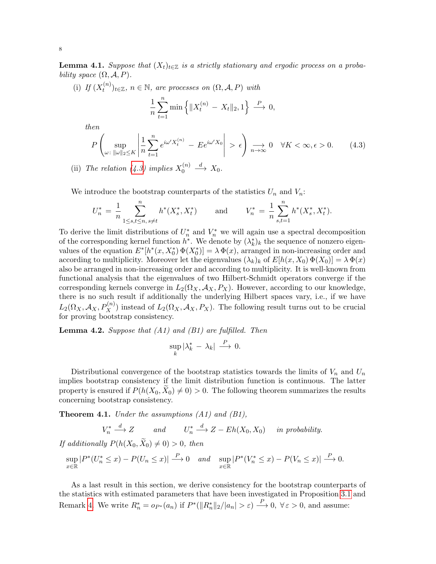<span id="page-7-3"></span>**Lemma 4.1.** Suppose that  $(X_t)_{t\in\mathbb{Z}}$  is a strictly stationary and ergodic process on a probability space  $(\Omega, \mathcal{A}, P)$ .

(i) If  $(X_t^{(n)}$  $(t_n^{(n)})_{t\in\mathbb{Z}}$ ,  $n\in\mathbb{N}$ , are processes on  $(\Omega, \mathcal{A}, P)$  with

$$
\frac{1}{n}\sum_{t=1}^{n}\min\left\{\|X_{t}^{(n)} - X_{t}\|_{2}, 1\right\} \stackrel{P}{\longrightarrow} 0,
$$

then

<span id="page-7-1"></span>
$$
P\left(\sup_{\omega:\;\|\omega\|_2\leq K} \left|\frac{1}{n}\sum_{t=1}^n e^{i\omega'X_t^{(n)}} - E e^{i\omega'X_0}\right| > \epsilon\right) \underset{n\to\infty}{\longrightarrow} 0 \quad \forall K < \infty, \epsilon > 0. \tag{4.3}
$$

(ii) The relation [\(4.3\)](#page-7-1) implies  $X_0^{(n)}$ 0  $\stackrel{d}{\longrightarrow} X_0.$ 

We introduce the bootstrap counterparts of the statistics  $U_n$  and  $V_n$ :

$$
U_n^* = \frac{1}{n} \sum_{1 \le s,t \le n, s \ne t}^n h^*(X_s^*, X_t^*) \qquad \text{and} \qquad V_n^* = \frac{1}{n} \sum_{s,t=1}^n h^*(X_s^*, X_t^*).
$$

To derive the limit distributions of  $U_n^*$  and  $V_n^*$  we will again use a spectral decomposition of the corresponding kernel function  $h^*$ . We denote by  $(\lambda_k^*)_k$  the sequence of nonzero eigenvalues of the equation  $E^*[h^*(x, X_0^*) \Phi(X_0^*)] = \lambda \Phi(x)$ , arranged in non-increasing order and according to multiplicity. Moreover let the eigenvalues  $(\lambda_k)_k$  of  $E[h(x, X_0) \Phi(X_0)] = \lambda \Phi(x)$ also be arranged in non-increasing order and according to multiplicity. It is well-known from functional analysis that the eigenvalues of two Hilbert-Schmidt operators converge if the corresponding kernels converge in  $L_2(\Omega_X, \mathcal{A}_X, P_X)$ . However, according to our knowledge, there is no such result if additionally the underlying Hilbert spaces vary, i.e., if we have  $L_2(\Omega_X, \mathcal{A}_X, P_X^{(n)})$  instead of  $L_2(\Omega_X, \mathcal{A}_X, P_X)$ . The following result turns out to be crucial for proving bootstrap consistency.

<span id="page-7-0"></span>**Lemma 4.2.** Suppose that  $(A1)$  and  $(B1)$  are fulfilled. Then

$$
\sup_k |\lambda_k^* - \lambda_k| \stackrel{P}{\longrightarrow} 0.
$$

Distributional convergence of the bootstrap statistics towards the limits of  $V_n$  and  $U_n$ implies bootstrap consistency if the limit distribution function is continuous. The latter property is ensured if  $P(h(X_0, X_0) \neq 0) > 0$ . The following theorem summarizes the results concerning bootstrap consistency.

<span id="page-7-2"></span>**Theorem 4.1.** Under the assumptions  $(A1)$  and  $(B1)$ ,

$$
V_n^* \xrightarrow{d} Z \qquad and \qquad U_n^* \xrightarrow{d} Z - Eh(X_0, X_0) \qquad in \text{ probability.}
$$
  
If additionally  $P(h(X_0, \tilde{X}_0) \neq 0) > 0$ , then  

$$
\sup_{x \in \mathbb{R}} |P^*(U_n^* \leq x) - P(U_n \leq x)| \xrightarrow{P} 0 \qquad and \qquad \sup_{x \in \mathbb{R}} |P^*(V_n^* \leq x) - P(V_n \leq x)| \xrightarrow{P} 0.
$$

As a last result in this section, we derive consistency for the bootstrap counterparts of the statistics with estimated parameters that have been investigated in Proposition [3.1](#page-5-0) and Remark [4.](#page-6-3) We write  $R_n^* = o_{P^*}(a_n)$  if  $P^*(||R_n^*||_2/|a_n| > \varepsilon) \stackrel{P}{\longrightarrow} 0$ ,  $\forall \varepsilon > 0$ , and assume: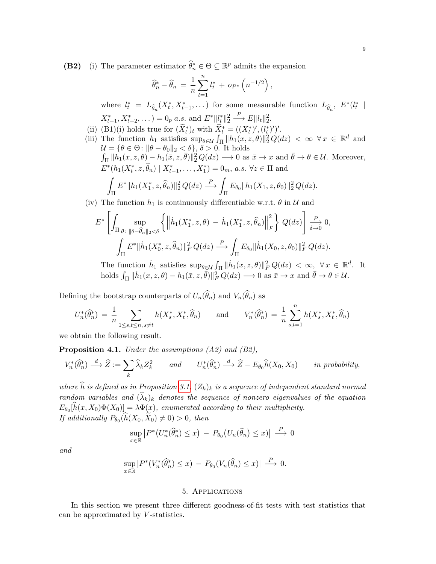(B2) (i) The parameter estimator  $\widehat{\theta}_n^* \in \Theta \subseteq \mathbb{R}^p$  admits the expansion

$$
\widehat{\theta}_n^* - \widehat{\theta}_n = \frac{1}{n} \sum_{t=1}^n l_t^* + op^* \left( n^{-1/2} \right),
$$

where  $l_t^* = L_{\widehat{\theta}_n}(X_t^*, X_{t-1}^*, \dots)$  for some measurable function  $L_{\widehat{\theta}_n}, E^*(l_t^* |$  $X_{t-1}^*, X_{t-2}^*, \dots$  = 0<sub>p</sub> a.s. and  $E^*$ || $l_t^*$ || $l_2^*$  $\stackrel{P}{\longrightarrow} E||l_t||_2^2.$ 

- (ii) (B1)(i) holds true for  $(\widetilde{X}_t^*)_t$  with  $\widetilde{X}_t^* = ((X_t^*)', (l_t^*)')'.$
- (iii) The function  $h_1$  satisfies  $\sup_{\theta \in \mathcal{U}} \int_{\Pi} ||h_1(x,z,\theta)||_2^2 Q(dz) < \infty \ \forall x \in \mathbb{R}^d$  and  $\mathcal{U} = \{\theta \in \Theta \colon \|\theta - \theta_0\|_2 < \delta\}, \, \delta > 0.$  It holds  $\int_{\Pi} ||h_1(x,z,\theta) - h_1(\overline{x},z,\overline{\theta})||_2^2 Q(dz) \longrightarrow 0$  as  $\overline{x} \to x$  and  $\overline{\theta} \to \theta \in \mathcal{U}$ . Moreover,  $E^*(h_1(X_t^*, z, \hat{\theta}_n) | X_{t-1}^*, \dots, X_1^*) = 0_m, a.s. \ \forall z \in \Pi \text{ and }$ Z Π  $E^* \|h_1(X_1^*, z, \widehat{\theta}_n)\|_2^2 Q(dz) \stackrel{P}{\longrightarrow}$  $\frac{1}{\Pi} E_{\theta_0} \| h_1(X_1, z, \theta_0) \|_2^2 Q(dz).$

(iv) The function  $h_1$  is continuously differentiable w.r.t.  $\theta$  in  $\mathcal U$  and

$$
E^* \left[ \int_{\Pi} \sup_{\theta : \|\theta - \widehat{\theta}_n\|_2 < \delta} \left\{ \left\| \dot{h}_1(X_1^*, z, \theta) - \dot{h}_1(X_1^*, z, \widehat{\theta}_n) \right\|_F^2 \right\} Q(dz) \right] \xrightarrow[\delta \to 0]{P} 0,
$$
\n
$$
\int_{\Pi} E^* \| \dot{h}_1(X_0^*, z, \widehat{\theta}_n) \|^2_F Q(dz) \xrightarrow{P} \int_{\Pi} E_{\theta_0} \| \dot{h}_1(X_0, z, \theta_0) \|^2_F Q(dz).
$$

The function  $\dot{h}_1$  satisfies  $\sup_{\theta \in \mathcal{U}} \int_{\Pi} ||\dot{h}_1(x, z, \theta)||_F^2 Q(dz) < \infty$ ,  $\forall x \in \mathbb{R}^d$ . It holds  $\int_{\Pi} \|\dot{h}_1(x, z, \theta) - h_1(\bar{x}, z, \bar{\theta})\|_F^2 Q(dz) \longrightarrow 0$  as  $\bar{x} \to x$  and  $\bar{\theta} \to \theta \in \mathcal{U}$ .

Defining the bootstrap counterparts of  $U_n(\hat{\theta}_n)$  and  $V_n(\hat{\theta}_n)$  as

$$
U_n^*(\widehat{\theta}_n^*) = \frac{1}{n} \sum_{1 \le s,t \le n, s \ne t} h(X_s^*, X_t^*, \widehat{\theta}_n) \quad \text{and} \quad V_n^*(\widehat{\theta}_n^*) = \frac{1}{n} \sum_{s,t=1}^n h(X_s^*, X_t^*, \widehat{\theta}_n)
$$

we obtain the following result.

<span id="page-8-1"></span>Proposition 4.1. Under the assumptions (A2) and (B2),

$$
V_n^*(\widehat{\theta}_n^*) \xrightarrow{d} \widehat{Z} := \sum_k \widehat{\lambda}_k Z_k^2 \qquad and \qquad U_n^*(\widehat{\theta}_n^*) \xrightarrow{d} \widehat{Z} - E_{\theta_0} \widehat{h}(X_0, X_0) \qquad in \ probability,
$$

where  $\widehat{h}$  is defined as in Proposition [3.1,](#page-5-0)  $(Z_k)_k$  is a sequence of independent standard normal random variables and  $(\lambda_k)_k$  denotes the sequence of nonzero eigenvalues of the equation  $E_{\theta_0}[h(x, X_0)\Phi(X_0)] = \lambda \Phi(x)$ , enumerated according to their multiplicity. If additionally  $P_{\theta_0}(h(X_0, X_0) \neq 0) > 0$ , then

$$
\sup_{x \in \mathbb{R}} |P^*(U_n^*(\widehat{\theta}_n^*) \le x) - P_{\theta_0}(U_n(\widehat{\theta}_n) \le x)| \stackrel{P}{\longrightarrow} 0
$$

and

$$
\sup_{x \in \mathbb{R}} |P^*(V_n^*(\widehat{\theta}_n^*) \le x) - P_{\theta_0}(V_n(\widehat{\theta}_n) \le x)| \stackrel{P}{\longrightarrow} 0.
$$

## 5. Applications

<span id="page-8-0"></span>In this section we present three different goodness-of-fit tests with test statistics that can be approximated by V-statistics.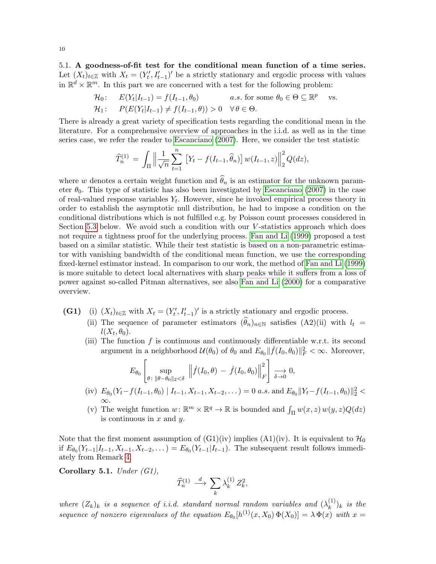5.1. A goodness-of-fit test for the conditional mean function of a time series. Let  $(X_t)_{t\in\mathbb{Z}}$  with  $X_t = (Y'_t, I'_{t-1})'$  be a strictly stationary and ergodic process with values in  $\mathbb{R}^d \times \mathbb{R}^m$ . In this part we are concerned with a test for the following problem:

$$
\mathcal{H}_0: \quad E(Y_t|I_{t-1}) = f(I_{t-1}, \theta_0) \qquad a.s. \text{ for some } \theta_0 \in \Theta \subseteq \mathbb{R}^p \text{ vs.}
$$
  

$$
\mathcal{H}_1: \quad P(E(Y_t|I_{t-1}) \neq f(I_{t-1}, \theta)) > 0 \quad \forall \theta \in \Theta.
$$

There is already a great variety of specification tests regarding the conditional mean in the literature. For a comprehensive overview of approaches in the i.i.d. as well as in the time series case, we refer the reader to [Escanciano](#page-28-13) [\(2007\)](#page-28-13). Here, we consider the test statistic

$$
\widehat{T}_n^{(1)} = \int_{\Pi} \left\| \frac{1}{\sqrt{n}} \sum_{t=1}^n \left[ Y_t - f(I_{t-1}, \widehat{\theta}_n) \right] w(I_{t-1}, z) \right\|_2^2 Q(dz),
$$

where w denotes a certain weight function and  $\hat{\theta}_n$  is an estimator for the unknown parameter  $\theta_0$ . This type of statistic has also been investigated by [Escanciano](#page-28-13) [\(2007\)](#page-28-13) in the case of real-valued response variables  $Y_t$ . However, since he invoked empirical process theory in order to establish the asymptotic null distribution, he had to impose a condition on the conditional distributions which is not fulfilled e.g. by Poisson count processes considered in Section [5.3](#page-12-0) below. We avoid such a condition with our  $V$ -statistics approach which does not require a tightness proof for the underlying process. [Fan and Li](#page-28-14) [\(1999\)](#page-28-14) proposed a test based on a similar statistic. While their test statistic is based on a non-parametric estimator with vanishing bandwidth of the conditional mean function, we use the corresponding fixed-kernel estimator instead. In comparison to our work, the method of [Fan and Li](#page-28-14) [\(1999\)](#page-28-14) is more suitable to detect local alternatives with sharp peaks while it suffers from a loss of power against so-called Pitman alternatives, see also [Fan and Li](#page-28-15) [\(2000\)](#page-28-15) for a comparative overview.

- (G1) (i)  $(X_t)_{t\in\mathbb{Z}}$  with  $X_t = (Y'_t, I'_{t-1})'$  is a strictly stationary and ergodic process.
	- (ii) The sequence of parameter estimators  $(\widehat{\theta}_n)_{n\in\mathbb{N}}$  satisfies (A2)(ii) with  $l_t =$  $l(X_t, \theta_0)$ .
	- (iii) The function  $f$  is continuous and continuously differentiable w.r.t. its second argument in a neighborhood  $\mathcal{U}(\theta_0)$  of  $\theta_0$  and  $E_{\theta_0} || \dot{f}(I_0, \theta_0) ||_F^2 < \infty$ . Moreover,

$$
E_{\theta_0}\left[\sup_{\theta\colon \|\theta-\theta_0\|_2<\delta}\ \left\| \dot{f}(I_0,\theta)\,-\,\dot{f}(I_0,\theta_0)\right\|^2_F\right]\xrightarrow[\delta\to 0]{}
$$

- (iv)  $E_{\theta_0}(Y_t f(I_{t-1}, \theta_0) \mid I_{t-1}, X_{t-1}, X_{t-2}, \dots) = 0$  a.s. and  $E_{\theta_0} || Y_t f(I_{t-1}, \theta_0) ||_2^2 <$ ∞.
- (v) The weight function  $w \colon \mathbb{R}^m \times \mathbb{R}^q \to \mathbb{R}$  is bounded and  $\int_{\Pi} w(x, z) w(y, z) Q(dz)$ is continuous in  $x$  and  $y$ .

Note that the first moment assumption of  $(G1)(iv)$  implies  $(A1)(iv)$ . It is equivalent to  $\mathcal{H}_0$ if  $E_{\theta_0}(Y_{t-1}|I_{t-1}, X_{t-1}, X_{t-2}, \dots) = E_{\theta_0}(Y_{t-1}|I_{t-1})$ . The subsequent result follows immediately from Remark [4.](#page-6-3)

Corollary 5.1. Under  $(G1)$ ,

$$
\widehat{T}^{(1)}_n \, \stackrel{d}{\longrightarrow} \, \sum_k \lambda^{(1)}_k \, Z^2_k,
$$

where  $(Z_k)_k$  is a sequence of i.i.d. standard normal random variables and  $(\lambda_k^{(1)})$  $\binom{1}{k}$ <sub>k</sub> is the sequence of nonzero eigenvalues of the equation  $E_{\theta_0}[h^{(1)}(x,X_0) \Phi(X_0)] = \lambda \Phi(x)$  with  $x =$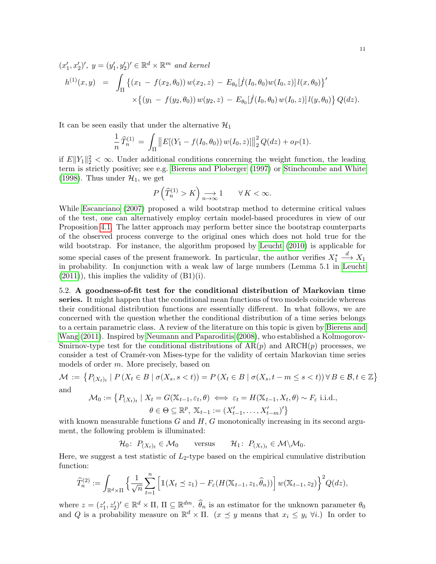$$
(x'_1, x'_2)', \ y = (y'_1, y'_2)' \in \mathbb{R}^d \times \mathbb{R}^m \ and \ kernel
$$
  
\n
$$
h^{(1)}(x, y) = \int_{\Pi} \left\{ (x_1 - f(x_2, \theta_0)) w(x_2, z) - E_{\theta_0}[\dot{f}(I_0, \theta_0) w(I_0, z)] l(x, \theta_0) \right\}' \times \left\{ (y_1 - f(y_2, \theta_0)) w(y_2, z) - E_{\theta_0}[\dot{f}(I_0, \theta_0) w(I_0, z)] l(y, \theta_0) \right\} Q(dz).
$$

It can be seen easily that under the alternative  $\mathcal{H}_1$ 

$$
\frac{1}{n}\widehat{T}_n^{(1)} = \int_{\Pi} ||E[(Y_1 - f(I_0, \theta_0)) w(I_0, z)]||_2^2 Q(dz) + o_P(1).
$$

if  $E||Y_1||_2^2 < \infty$ . Under additional conditions concerning the weight function, the leading term is strictly positive; see e.g. [Bierens and Ploberger](#page-27-4) [\(1997\)](#page-27-4) or [Stinchcombe and White](#page-29-5) [\(1998\)](#page-29-5). Thus under  $\mathcal{H}_1$ , we get

$$
P\left(\widehat{T}_n^{(1)} > K\right) \underset{n \to \infty}{\longrightarrow} 1 \qquad \forall K < \infty.
$$

While [Escanciano](#page-28-13) [\(2007\)](#page-28-13) proposed a wild bootstrap method to determine critical values of the test, one can alternatively employ certain model-based procedures in view of our Proposition [4.1.](#page-8-1) The latter approach may perform better since the bootstrap counterparts of the observed process converge to the original ones which does not hold true for the wild bootstrap. For instance, the algorithm proposed by [Leucht](#page-28-16) [\(2010\)](#page-28-16) is applicable for some special cases of the present framework. In particular, the author verifies  $X_1^*$  $\stackrel{d}{\longrightarrow} X_1$ in probability. In conjunction with a weak law of large numbers (Lemma 5.1 in [Leucht](#page-29-2)  $(2011)$ , this implies the validity of  $(B1)(i)$ .

5.2. A goodness-of-fit test for the conditional distribution of Markovian time series. It might happen that the conditional mean functions of two models coincide whereas their conditional distribution functions are essentially different. In what follows, we are concerned with the question whether the conditional distribution of a time series belongs to a certain parametric class. A review of the literature on this topic is given by [Bierens and](#page-27-5) [Wang](#page-27-5) [\(2011\)](#page-27-5). Inspired by [Neumann and Paparoditis](#page-29-6) [\(2008\)](#page-29-6), who established a Kolmogorov-Smirnov-type test for the conditional distributions of  $AR(p)$  and  $ARCH(p)$  processes, we consider a test of Cram´er-von Mises-type for the validity of certain Markovian time series models of order m. More precisely, based on

$$
\mathcal{M} := \{ P_{(X_t)_t} \mid P \left( X_t \in B \mid \sigma(X_s, s < t) \right) = P \left( X_t \in B \mid \sigma(X_s, t - m \le s < t) \right) \forall B \in \mathcal{B}, t \in \mathbb{Z} \}
$$
 and

$$
\mathcal{M}_0 := \left\{ P_{(X_t)_t} \mid X_t = G(\mathbb{X}_{t-1}, \varepsilon_t, \theta) \iff \varepsilon_t = H(\mathbb{X}_{t-1}, X_t, \theta) \sim F_{\varepsilon} \text{ i.i.d.}, \right\}
$$

$$
\theta \in \Theta \subseteq \mathbb{R}^p, \ \mathbb{X}_{t-1} := (X'_{t-1}, \dots, X'_{t-m})' \right\}
$$

with known measurable functions  $G$  and  $H$ ,  $G$  monotonically increasing in its second argument, the following problem is illuminated:

 $\mathcal{H}_0$ :  $P_{(X_t)_t} \in \mathcal{M}_0$  versus  $\mathcal{H}_1$ :  $P_{(X_t)_t} \in \mathcal{M} \backslash \mathcal{M}_0$ .

Here, we suggest a test statistic of  $L_2$ -type based on the empirical cumulative distribution function:

$$
\widehat{T}_n^{(2)} := \int_{\mathbb{R}^d \times \Pi} \left\{ \frac{1}{\sqrt{n}} \sum_{t=1}^n \left[ \mathbb{1}(X_t \leq z_1) - F_{\varepsilon}(H(\mathbb{X}_{t-1}, z_1, \widehat{\theta}_n)) \right] w(\mathbb{X}_{t-1}, z_2) \right\}^2 Q(dz),
$$

where  $z = (z_1', z_2')' \in \mathbb{R}^d \times \Pi$ ,  $\Pi \subseteq \mathbb{R}^{dm}$ .  $\widehat{\theta}_n$  is an estimator for the unknown parameter  $\theta_0$ and Q is a probability measure on  $\mathbb{R}^d \times \Pi$ .  $(x \preceq y$  means that  $x_i \leq y_i \ \forall i$ .) In order to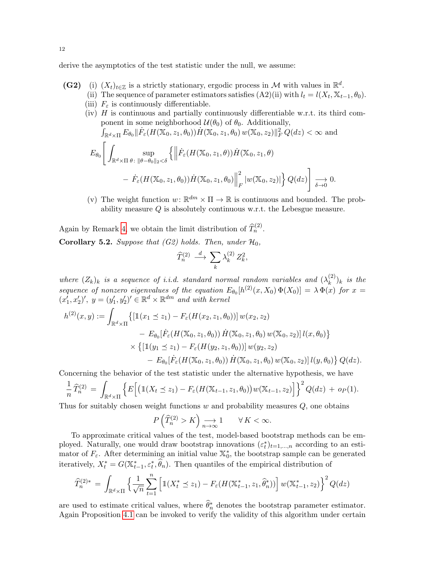derive the asymptotics of the test statistic under the null, we assume:

- (G2) (i)  $(X_t)_{t\in\mathbb{Z}}$  is a strictly stationary, ergodic process in M with values in  $\mathbb{R}^d$ .
	- (ii) The sequence of parameter estimators satisfies  $(A2)(ii)$  with  $l_t = l(X_t, X_{t-1}, \theta_0)$ .
	- (iii)  $F_{\varepsilon}$  is continuously differentiable.
	- $(iv)$  H is continuous and partially continuously differentiable w.r.t. its third component in some neighborhood  $\mathcal{U}(\theta_0)$  of  $\theta_0$ . Additionally,  $\int_{\mathbb{R}^d \times \Pi} E_{\theta_0} \|\dot{F}_{\varepsilon}(H(\mathbb{X}_0, z_1, \theta_0)) \dot{H}(\mathbb{X}_0, z_1, \theta_0) w(\mathbb{X}_0, z_2) \|_F^2 Q(dz) < \infty$  and  $E_{\theta_0}$  $\lceil$  $\mathbb{R}^d$ × $\Pi$ sup θ:  $\|\theta-\theta_0\|_2<\delta$  $\left\{\left\|\right\}$  $\dot{F}_{\varepsilon}(H(\mathbb{X}_0,z_1,\theta))\dot{H}(\mathbb{X}_0,z_1,\theta)$  $- \dot{F}_{\varepsilon}(H(\mathbb{X}_0, z_1, \theta_0)) \dot{H}(\mathbb{X}_0, z_1, \theta_0) \Big\|$ 2  $\frac{d}{dr}\left|w(\mathbb X_0, z_2)\right|\Big\}Q(dz)$ 1  $\longrightarrow_{\delta \to 0} 0.$
	- (v) The weight function  $w: \mathbb{R}^{dm} \times \Pi \to \mathbb{R}$  is continuous and bounded. The probability measure Q is absolutely continuous w.r.t. the Lebesgue measure.

Again by Remark [4,](#page-6-3) we obtain the limit distribution of  $\widehat{T}_n^{(2)}$ .

**Corollary 5.2.** Suppose that (G2) holds. Then, under  $\mathcal{H}_0$ ,

$$
\widehat{T}^{(2)}_n \ \stackrel{d}{\longrightarrow} \ \sum_k \lambda^{(2)}_k \, Z^2_k,
$$

where  $(Z_k)_k$  is a sequence of i.i.d. standard normal random variables and  $(\lambda_k^{(2)})_k$  is the k sequence of nonzero eigenvalues of the equation  $E_{\theta_0}[h^{(2)}(x,X_0)\Phi(X_0)] = \lambda \Phi(x)$  for  $x =$  $(x'_1, x'_2)'$ ,  $y = (y'_1, y'_2)' \in \mathbb{R}^d \times \mathbb{R}^{dm}$  and with kernel

$$
h^{(2)}(x,y) := \int_{\mathbb{R}^d \times \Pi} \{ [\mathbb{1}(x_1 \le z_1) - F_{\varepsilon}(H(x_2, z_1, \theta_0))] w(x_2, z_2) - E_{\theta_0}[\dot{F}_{\varepsilon}(H(\mathbb{X}_0, z_1, \theta_0)) \dot{H}(\mathbb{X}_0, z_1, \theta_0) w(\mathbb{X}_0, z_2)] l(x, \theta_0) \} \times \{ [\mathbb{1}(y_1 \le z_1) - F_{\varepsilon}(H(y_2, z_1, \theta_0))] w(y_2, z_2) - E_{\theta_0}[\dot{F}_{\varepsilon}(H(\mathbb{X}_0, z_1, \theta_0)) \dot{H}(\mathbb{X}_0, z_1, \theta_0) w(\mathbb{X}_0, z_2)] l(y, \theta_0) \} Q(dz).
$$

Concerning the behavior of the test statistic under the alternative hypothesis, we have

$$
\frac{1}{n}\widehat{T}_n^{(2)} = \int_{\mathbb{R}^d \times \Pi} \left\{ E\Big[ \big( \mathbb{1}(X_t \preceq z_1) - F_{\varepsilon}(H(\mathbb{X}_{t-1}, z_1, \theta_0)) w(\mathbb{X}_{t-1}, z_2) \Big] \right\}^2 Q(dz) + op(1).
$$

Thus for suitably chosen weight functions  $w$  and probability measures  $Q$ , one obtains

$$
P\left(\widehat{T}_n^{(2)} > K\right) \underset{n \to \infty}{\longrightarrow} 1 \qquad \forall K < \infty.
$$

To approximate critical values of the test, model-based bootstrap methods can be employed. Naturally, one would draw bootstrap innovations  $(\varepsilon_t^*)_{t=1,\dots,n}$  according to an estimator of  $F_{\varepsilon}$ . After determining an initial value  $\mathbb{X}_0^*$ , the bootstrap sample can be generated iteratively,  $X_t^* = G(\mathbb{X}_{t-1}^*, \varepsilon_t^*, \widehat{\theta}_n)$ . Then quantiles of the empirical distribution of

$$
\widehat{T}_n^{(2)*} = \int_{\mathbb{R}^d \times \Pi} \left\{ \frac{1}{\sqrt{n}} \sum_{t=1}^n \left[ \mathbb{1}(X_t^* \leq z_1) - F_{\varepsilon}(H(\mathbb{X}_{t-1}^*, z_1, \widehat{\theta}_n^*)) \right] w(\mathbb{X}_{t-1}^*, z_2) \right\}^2 Q(dz)
$$

are used to estimate critical values, where  $\widehat{\theta}_n^*$  denotes the bootstrap parameter estimator. Again Proposition [4.1](#page-8-1) can be invoked to verify the validity of this algorithm under certain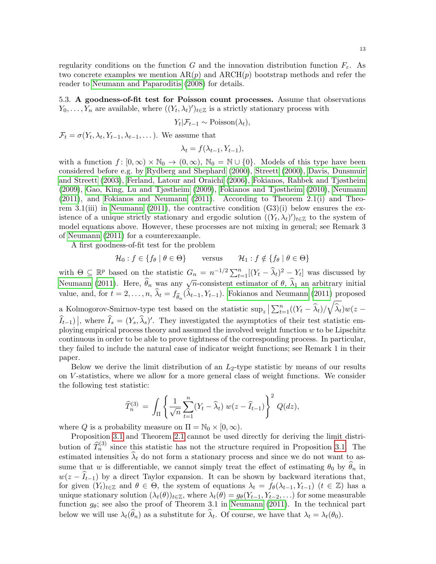regularity conditions on the function G and the innovation distribution function  $F_{\varepsilon}$ . As two concrete examples we mention  $AR(p)$  and  $ARCH(p)$  bootstrap methods and refer the reader to [Neumann and Paparoditis](#page-29-6) [\(2008\)](#page-29-6) for details.

<span id="page-12-0"></span>5.3. A goodness-of-fit test for Poisson count processes. Assume that observations  $Y_0, \ldots, Y_n$  are available, where  $((Y_t, \lambda_t)')_{t \in \mathbb{Z}}$  is a strictly stationary process with

$$
Y_t | \mathcal{F}_{t-1} \sim \text{Poisson}(\lambda_t),
$$

 $\mathcal{F}_t = \sigma(Y_t, \lambda_t, Y_{t-1}, \lambda_{t-1}, \dots)$ . We assume that

$$
\lambda_t = f(\lambda_{t-1}, Y_{t-1}),
$$

with a function  $f: [0, \infty) \times \mathbb{N}_0 \to (0, \infty)$ ,  $\mathbb{N}_0 = \mathbb{N} \cup \{0\}$ . Models of this type have been considered before e.g. by [Rydberg and Shephard](#page-29-7) [\(2000\)](#page-29-7), [Streett](#page-29-8) [\(2000\)](#page-29-8), [Davis, Dunsmuir](#page-28-17) [and Streett](#page-28-17) [\(2003\)](#page-28-17), [Ferland, Latour and Oraichi](#page-28-18) [\(2006\)](#page-28-18), [Fokianos, Rahbek and Tjøstheim](#page-28-19) [\(2009\)](#page-28-19), [Gao, King, Lu and Tjøstheim](#page-28-20) [\(2009\)](#page-28-20), [Fokianos and Tjøstheim](#page-28-21) [\(2010\)](#page-28-21), [Neumann](#page-29-0) [\(2011\)](#page-29-0), and [Fokianos and Neumann](#page-28-3) [\(2011\)](#page-28-3). According to Theorem 2.1(i) and Theo-rem 3.1(iii) in [Neumann](#page-29-0) [\(2011\)](#page-29-0), the contractive condition  $(G3)(i)$  below ensures the existence of a unique strictly stationary and ergodic solution  $((Y_t, \lambda_t)')_{t \in \mathbb{Z}}$  to the system of model equations above. However, these processes are not mixing in general; see Remark 3 of [Neumann](#page-29-0) [\(2011\)](#page-29-0) for a counterexample.

A first goodness-of-fit test for the problem

$$
\mathcal{H}_0: f \in \{f_\theta \mid \theta \in \Theta\} \qquad \text{versus} \qquad \mathcal{H}_1: f \notin \{f_\theta \mid \theta \in \Theta\}
$$

with  $\Theta \subseteq \mathbb{R}^p$  based on the statistic  $G_n = n^{-1/2} \sum_{t=1}^n [(Y_t - \widehat{\lambda}_t)^2 - Y_t]$  was discussed by [Neumann](#page-29-0) [\(2011\)](#page-29-0). Here,  $\hat{\theta}_n$  was any  $\sqrt{n}$ -consistent estimator of  $\theta$ ,  $\hat{\lambda}_1$  an arbitrary initial value, and, for  $t = 2, \ldots, n$ ,  $\lambda_t = f_{\widehat{\theta}_n}(\lambda_{t-1}, Y_{t-1})$ . [Fokianos and Neumann](#page-28-3) [\(2011\)](#page-28-3) proposed a Kolmogorov-Smirnov-type test based on the statistic  $\sup_z\left|\sum_{t=1}^n((Y_t-\widehat{\lambda}_t)/\sqrt{\widehat{\lambda}_t}\right)w(z-\widehat{\lambda}_t)$  $\widehat{I}_{t-1})$ , where  $\widehat{I}_s = (Y_s, \widehat{\lambda}_s)'$ . They investigated the asymptotics of their test statistic employing empirical process theory and assumed the involved weight function  $w$  to be Lipschitz continuous in order to be able to prove tightness of the corresponding process. In particular, they failed to include the natural case of indicator weight functions; see Remark 1 in their paper.

Below we derive the limit distribution of an  $L_2$ -type statistic by means of our results on V -statistics, where we allow for a more general class of weight functions. We consider the following test statistic:

$$
\widehat{T}_n^{(3)} = \int_{\Pi} \left\{ \frac{1}{\sqrt{n}} \sum_{t=1}^n (Y_t - \widehat{\lambda}_t) w(z - \widehat{I}_{t-1}) \right\}^2 Q(dz),
$$

where Q is a probability measure on  $\Pi = \mathbb{N}_0 \times [0, \infty)$ .

Proposition [3.1](#page-5-0) and Theorem [2.1](#page-4-1) cannot be used directly for deriving the limit distribution of  $\widehat{T}_n^{(3)}$  since this statistic has not the structure required in Proposition [3.1.](#page-5-0) The estimated intensities  $\hat{\lambda}_t$  do not form a stationary process and since we do not want to assume that w is differentiable, we cannot simply treat the effect of estimating  $\theta_0$  by  $\hat{\theta}_n$  in  $w(z - I_{t-1})$  by a direct Taylor expansion. It can be shown by backward iterations that, for given  $(Y_t)_{t\in\mathbb{Z}}$  and  $\theta \in \Theta$ , the system of equations  $\lambda_t = f_{\theta}(\lambda_{t-1}, Y_{t-1})$   $(t \in \mathbb{Z})$  has a unique stationary solution  $(\lambda_t(\theta))_{t\in\mathbb{Z}}$ , where  $\lambda_t(\theta) = g_\theta(Y_{t-1}, Y_{t-2}, \ldots)$  for some measurable function  $g_{\theta}$ ; see also the proof of Theorem 3.1 in [Neumann](#page-29-0) [\(2011\)](#page-29-0). In the technical part below we will use  $\lambda_t(\theta_n)$  as a substitute for  $\lambda_t$ . Of course, we have that  $\lambda_t = \lambda_t(\theta_0)$ .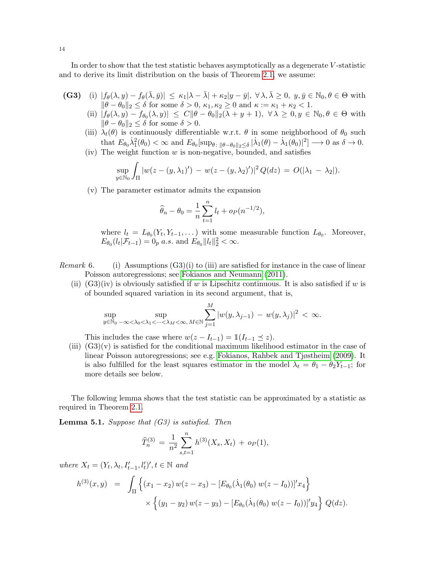In order to show that the test statistic behaves asymptotically as a degenerate V -statistic and to derive its limit distribution on the basis of Theorem [2.1,](#page-4-1) we assume:

- (G3) (i)  $|f_\theta(\lambda, y) f_\theta(\overline{\lambda}, \overline{y})| \leq \kappa_1 |\lambda \overline{\lambda}| + \kappa_2 |y \overline{y}|, \forall \lambda, \overline{\lambda} \geq 0, y, \overline{y} \in \mathbb{N}_0, \theta \in \Theta$  with  $\|\theta - \theta_0\|_2 \leq \delta$  for some  $\delta > 0$ ,  $\kappa_1, \kappa_2 \geq 0$  and  $\kappa := \kappa_1 + \kappa_2 < 1$ .
	- (ii)  $|f_{\theta}(\lambda, y) f_{\theta_0}(\lambda, y)| \leq C \|\theta \theta_0\|_2(\lambda + y + 1), \ \forall \lambda \geq 0, y \in \mathbb{N}_0, \theta \in \Theta$  with  $\|\theta - \theta_0\|_2 \leq \delta$  for some  $\delta > 0$ .
	- (iii)  $\lambda_t(\theta)$  is continuously differentiable w.r.t.  $\theta$  in some neighborhood of  $\theta_0$  such that  $E_{\theta_0} \dot{\lambda}_1^2(\theta_0) < \infty$  and  $E_{\theta_0}[\sup_{\theta : \ \|\theta - \theta_0\|_2 \leq \delta} |\dot{\lambda}_1(\theta) - \dot{\lambda}_1(\theta_0)|^2] \longrightarrow 0$  as  $\delta \to 0$ .
	- (iv) The weight function  $w$  is non-negative, bounded, and satisfies

$$
\sup_{y \in \mathbb{N}_0} \int_{\Pi} |w(z - (y, \lambda_1)') - w(z - (y, \lambda_2)')|^2 Q(dz) = O(|\lambda_1 - \lambda_2|).
$$

(v) The parameter estimator admits the expansion

$$
\widehat{\theta}_n - \theta_0 = \frac{1}{n} \sum_{t=1}^n l_t + o_P(n^{-1/2}),
$$

where  $l_t = L_{\theta_0}(Y_t, Y_{t-1}, \dots)$  with some measurable function  $L_{\theta_0}$ . Moreover,  $E_{\theta_0}(l_t | \mathcal{F}_{t-1}) = 0_p \text{ a.s. and } E_{\theta_0} || l_t ||_2^2 < \infty.$ 

- *Remark* 6. (i) Assumptions  $(G3)(i)$  to (iii) are satisfied for instance in the case of linear Poisson autoregressions; see [Fokianos and Neumann](#page-28-3) [\(2011\)](#page-28-3).
	- (ii)  $(G3)(iv)$  is obviously satisfied if w is Lipschitz continuous. It is also satisfied if w is of bounded squared variation in its second argument, that is,

$$
\sup_{y\in\mathbb{N}_0}\sup_{-\infty<\lambda_0<\lambda_1<\cdots<\lambda_M<\infty,\,M\in\mathbb{N}}\sum_{j=1}^M|w(y,\lambda_{j-1})\,-\,w(y,\lambda_j)|^2\,<\,\infty.
$$

This includes the case where  $w(z - I_{t-1}) = \mathbb{1}(I_{t-1} \preceq z)$ .

(iii)  $(G3)(v)$  is satisfied for the conditional maximum likelihood estimator in the case of linear Poisson autoregressions; see e.g. [Fokianos, Rahbek and Tjøstheim](#page-28-19) [\(2009\)](#page-28-19). It is also fulfilled for the least squares estimator in the model  $\lambda_t = \theta_1 - \theta_2 Y_{t-1}$ ; for more details see below.

The following lemma shows that the test statistic can be approximated by a statistic as required in Theorem [2.1.](#page-4-1)

**Lemma 5.1.** Suppose that  $(G3)$  is satisfied. Then

$$
\widehat{T}_n^{(3)} = \frac{1}{n^2} \sum_{s,t=1}^n h^{(3)}(X_s, X_t) + o_P(1),
$$

where  $X_t = (Y_t, \lambda_t, I'_{t-1}, l'_t)', t \in \mathbb{N}$  and

$$
h^{(3)}(x,y) = \int_{\Pi} \left\{ (x_1 - x_2) w(z - x_3) - [E_{\theta_0}(\dot{\lambda}_1(\theta_0) w(z - I_0))]'x_4 \right\} \times \left\{ (y_1 - y_2) w(z - y_3) - [E_{\theta_0}(\dot{\lambda}_1(\theta_0) w(z - I_0))]'y_4 \right\} Q(dz).
$$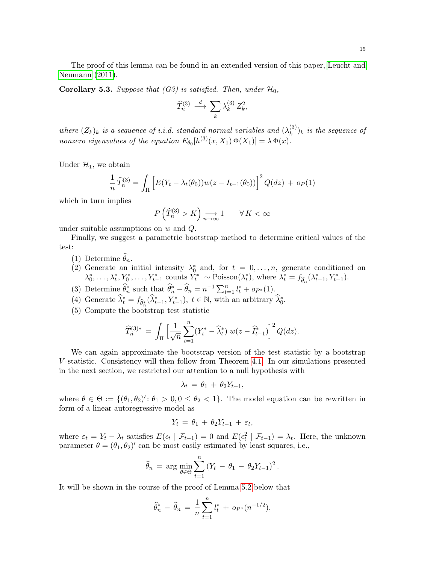The proof of this lemma can be found in an extended version of this paper, [Leucht and](#page-29-9) [Neumann](#page-29-9) [\(2011\)](#page-29-9).

**Corollary 5.3.** Suppose that (G3) is satisfied. Then, under  $\mathcal{H}_0$ ,

$$
\widehat{T}^{(3)}_n \, \stackrel{d}{\longrightarrow} \, \sum_k \lambda_k^{(3)} \, Z_k^2,
$$

where  $(Z_k)_k$  is a sequence of i.i.d. standard normal variables and  $(\lambda_k^{(3)})$  $\binom{S}{k}$  is the sequence of nonzero eigenvalues of the equation  $E_{\theta_0}[h^{(3)}(x,X_1) \Phi(X_1)] = \lambda \Phi(x)$ .

Under  $\mathcal{H}_1$ , we obtain

$$
\frac{1}{n}\widehat{T}_n^{(3)} = \int_{\Pi} \left[ E(Y_t - \lambda_t(\theta_0)) w(z - I_{t-1}(\theta_0)) \right]^2 Q(dz) + op(1)
$$

which in turn implies

$$
P\left(\widehat{T}_n^{(3)} > K\right) \underset{n \to \infty}{\longrightarrow} 1 \qquad \forall K < \infty
$$

under suitable assumptions on w and Q.

Finally, we suggest a parametric bootstrap method to determine critical values of the test:

- (1) Determine  $\widehat{\theta}_n$ .
- (2) Generate an initial intensity  $\lambda_0^*$  and, for  $t = 0, \ldots, n$ , generate conditioned on  $\lambda_0^*, \ldots, \lambda_t^*, Y_0^*, \ldots, Y_{t-1}^*$  counts  $Y_t^* \sim \text{Poisson}(\lambda_t^*)$ , where  $\lambda_t^* = f_{\widehat{\theta}_n}(\lambda_{t-1}^*, Y_{t-1}^*)$ .
- (3) Determine  $\widehat{\theta}_n^*$  such that  $\widehat{\theta}_n^* \widehat{\theta}_n = n^{-1} \sum_{t=1}^n l_t^* + op_*(1)$ .
- (4) Generate  $\widehat{\lambda}_t^* = f_{\widehat{\theta}_n^*}(\widehat{\lambda}_{t-1}^*, Y_{t-1}^*)$ ,  $t \in \mathbb{N}$ , with an arbitrary  $\widehat{\lambda}_0^*$ .
- (5) Compute the bootstrap test statistic

$$
\widehat{T}_n^{(3)*} \, = \, \int_{\Pi} \Big[ \frac{1}{\sqrt{n}} \sum_{t=1}^n (Y_t^* - \widehat{\lambda}_t^*) \, \, w(z - \widehat{I}_{t-1}^*) \Big]^2 \, Q(dz).
$$

We can again approximate the bootstrap version of the test statistic by a bootstrap V -statistic. Consistency will then follow from Theorem [4.1.](#page-7-2) In our simulations presented in the next section, we restricted our attention to a null hypothesis with

$$
\lambda_t = \theta_1 + \theta_2 Y_{t-1},
$$

where  $\theta \in \Theta := \{(\theta_1, \theta_2)' : \theta_1 > 0, 0 \leq \theta_2 < 1\}$ . The model equation can be rewritten in form of a linear autoregressive model as

$$
Y_t = \theta_1 + \theta_2 Y_{t-1} + \varepsilon_t,
$$

where  $\varepsilon_t = Y_t - \lambda_t$  satisfies  $E(\epsilon_t | \mathcal{F}_{t-1}) = 0$  and  $E(\epsilon_t^2 | \mathcal{F}_{t-1}) = \lambda_t$ . Here, the unknown parameter  $\theta = (\theta_1, \theta_2)'$  can be most easily estimated by least squares, i.e.,

$$
\widehat{\theta}_n = \arg \min_{\theta \in \Theta} \sum_{t=1}^n (Y_t - \theta_1 - \theta_2 Y_{t-1})^2.
$$

It will be shown in the course of the proof of Lemma [5.2](#page-15-1) below that

$$
\widehat{\theta}_n^* - \widehat{\theta}_n = \frac{1}{n} \sum_{t=1}^n l_t^* + op_*(n^{-1/2}),
$$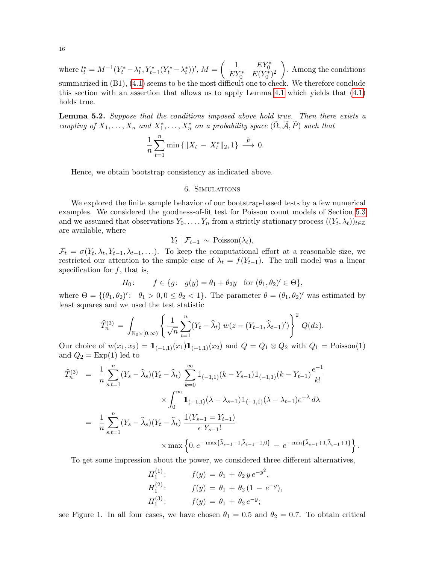where  $l_t^* = M^{-1}(Y_t^* - \lambda_t^*, Y_{t-1}^*(Y_t^* - \lambda_t^*))'$ ,  $M = \begin{pmatrix} 1 & EY_0^* \\ EY_0^* & E(Y_0^*)^2 \end{pmatrix}$  . Among the conditions summarized in (B1), [\(4.1\)](#page-6-1) seems to be the most difficult one to check. We therefore conclude this section with an assertion that allows us to apply Lemma [4.1](#page-7-3) which yields that [\(4.1\)](#page-6-1) holds true.

<span id="page-15-1"></span>**Lemma 5.2.** Suppose that the conditions imposed above hold true. Then there exists a coupling of  $X_1, \ldots, X_n$  and  $X_1^*, \ldots, X_n^*$  on a probability space  $(\widetilde{\Omega}, \widetilde{\mathcal{A}}, \widetilde{P})$  such that

$$
\frac{1}{n}\sum_{t=1}^{n}\min\{\|X_t - X_t^*\|_2, 1\} \stackrel{\tilde{P}}{\longrightarrow} 0.
$$

Hence, we obtain bootstrap consistency as indicated above.

#### 6. Simulations

<span id="page-15-0"></span>We explored the finite sample behavior of our bootstrap-based tests by a few numerical examples. We considered the goodness-of-fit test for Poisson count models of Section [5.3](#page-12-0) and we assumed that observations  $Y_0, \ldots, Y_n$  from a strictly stationary process  $((Y_t, \lambda_t))_{t \in \mathbb{Z}}$ are available, where

$$
Y_t | \mathcal{F}_{t-1} \sim \text{Poisson}(\lambda_t),
$$

 $\mathcal{F}_t = \sigma(Y_t, \lambda_t, Y_{t-1}, \lambda_{t-1}, \ldots)$ . To keep the computational effort at a reasonable size, we restricted our attention to the simple case of  $\lambda_t = f(Y_{t-1})$ . The null model was a linear specification for  $f$ , that is,

$$
H_0: \t f \in \{g: g(y) = \theta_1 + \theta_2 y \text{ for } (\theta_1, \theta_2)' \in \Theta\},\
$$

where  $\Theta = \{(\theta_1, \theta_2)': \theta_1 > 0, 0 \leq \theta_2 < 1\}$ . The parameter  $\theta = (\theta_1, \theta_2)'$  was estimated by least squares and we used the test statistic

$$
\widehat{T}_n^{(3)} = \int_{\mathbb{N}_0 \times [0,\infty)} \left\{ \frac{1}{\sqrt{n}} \sum_{t=1}^n (Y_t - \widehat{\lambda}_t) \ w(z - (Y_{t-1}, \widehat{\lambda}_{t-1})') \right\}^2 Q(dz).
$$

Our choice of  $w(x_1, x_2) = 1_{(-1,1)}(x_1)1_{(-1,1)}(x_2)$  and  $Q = Q_1 \otimes Q_2$  with  $Q_1 = \text{Poisson}(1)$ and  $Q_2 = \text{Exp}(1)$  led to

$$
\begin{split}\n\widehat{T}_{n}^{(3)} &= \frac{1}{n} \sum_{s,t=1}^{n} (Y_s - \widehat{\lambda}_s)(Y_t - \widehat{\lambda}_t) \sum_{k=0}^{\infty} \mathbb{1}_{(-1,1)}(k - Y_{s-1}) \mathbb{1}_{(-1,1)}(k - Y_{t-1}) \frac{e^{-1}}{k!} \\
&\quad \times \int_{0}^{\infty} \mathbb{1}_{(-1,1)}(\lambda - \lambda_{s-1}) \mathbb{1}_{(-1,1)}(\lambda - \lambda_{t-1}) e^{-\lambda} d\lambda \\
&= \frac{1}{n} \sum_{s,t=1}^{n} (Y_s - \widehat{\lambda}_s)(Y_t - \widehat{\lambda}_t) \frac{\mathbb{1}(Y_{s-1} = Y_{t-1})}{e Y_{s-1}!} \\
&\quad \times \max \left\{0, e^{-\max\{\widehat{\lambda}_{s-1} - 1, \widehat{\lambda}_{t-1} - 1, 0\}} - e^{-\min\{\widehat{\lambda}_{s-1} + 1, \widehat{\lambda}_{t-1} + 1\}}\right\}.\n\end{split}
$$

To get some impression about the power, we considered three different alternatives,

$$
H_1^{(1)}: \t f(y) = \theta_1 + \theta_2 y e^{-y^2},
$$
  
\n
$$
H_1^{(2)}: \t f(y) = \theta_1 + \theta_2 (1 - e^{-y}),
$$
  
\n
$$
H_1^{(3)}: \t f(y) = \theta_1 + \theta_2 e^{-y};
$$

see Figure 1. In all four cases, we have chosen  $\theta_1 = 0.5$  and  $\theta_2 = 0.7$ . To obtain critical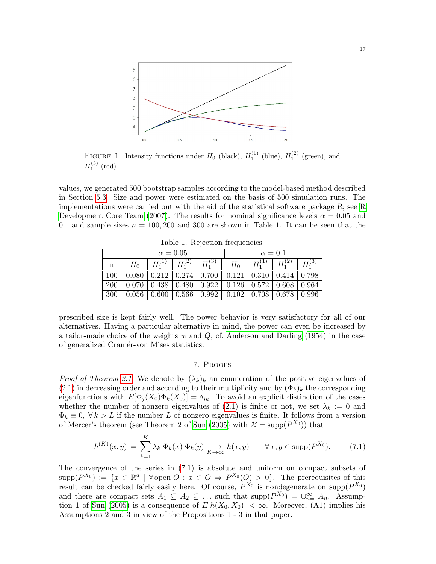

FIGURE 1. Intensity functions under  $H_0$  (black),  $H_1^{(1)}$  (blue),  $H_1^{(2)}$  (green), and  $H_1^{(3)}$  (red).

values, we generated 500 bootstrap samples according to the model-based method described in Section [5.3.](#page-12-0) Size and power were estimated on the basis of 500 simulation runs. The implementations were carried out with the aid of the statistical software package  $R$ ; see [R](#page-29-10) [Development Core Team](#page-29-10) [\(2007\)](#page-29-10). The results for nominal significance levels  $\alpha = 0.05$  and 0.1 and sample sizes  $n = 100, 200$  and 300 are shown in Table 1. It can be seen that the

|             | $\alpha = 0.05$ |                            |  |                   | $\alpha=0.1$                                                                                                                                    |             |             |             |
|-------------|-----------------|----------------------------|--|-------------------|-------------------------------------------------------------------------------------------------------------------------------------------------|-------------|-------------|-------------|
| $\mathbf n$ |                 | $H_1^{(1)} \mid H_1^{(2)}$ |  | $+ H_1^{(3) - n}$ | $H_0$                                                                                                                                           | $H^{(1)}_1$ | $+ H^{(2)}$ | $H_1^{(3)}$ |
|             |                 |                            |  |                   | $100 \parallel 0.080 \parallel 0.212 \parallel 0.274 \parallel 0.700 \parallel 0.121 \parallel 0.310 \parallel 0.414 \parallel 0.798$           |             |             |             |
|             |                 |                            |  |                   | 200   0.070   0.438   0.480   0.922    0.126   0.572   0.608   0.964                                                                            |             |             |             |
| 300         |                 |                            |  |                   | $\parallel$ 0.056 $\parallel$ 0.600 $\parallel$ 0.566 $\parallel$ 0.992 $\parallel$ 0.102 $\parallel$ 0.708 $\parallel$ 0.678 $\parallel$ 0.996 |             |             |             |

Table 1. Rejection frequencies

prescribed size is kept fairly well. The power behavior is very satisfactory for all of our alternatives. Having a particular alternative in mind, the power can even be increased by a tailor-made choice of the weights w and  $Q$ ; cf. [Anderson and Darling](#page-27-6) [\(1954\)](#page-27-6) in the case of generalized Cramér-von Mises statistics.

## 7. Proofs

<span id="page-16-0"></span>*Proof of Theorem [2.1.](#page-4-1)* We denote by  $(\lambda_k)_k$  an enumeration of the positive eigenvalues of  $(2.1)$  in decreasing order and according to their multiplicity and by  $(\Phi_k)_k$  the corresponding eigenfunctions with  $E[\Phi_i(X_0)\Phi_k(X_0)] = \delta_{ik}$ . To avoid an explicit distinction of the cases whether the number of nonzero eigenvalues of [\(2.1\)](#page-3-0) is finite or not, we set  $\lambda_k := 0$  and  $\Phi_k \equiv 0, \forall k > L$  if the number L of nonzero eigenvalues is finite. It follows from a version of Mercer's theorem (see Theorem 2 of [Sun](#page-29-4) [\(2005\)](#page-29-4) with  $\mathcal{X} = \text{supp}(P^{X_0})$  that

<span id="page-16-1"></span>
$$
h^{(K)}(x,y) = \sum_{k=1}^{K} \lambda_k \, \Phi_k(x) \, \Phi_k(y) \xrightarrow[K \to \infty]{} h(x,y) \qquad \forall \, x, y \in \text{supp}(P^{X_0}).\tag{7.1}
$$

The convergence of the series in [\(7.1\)](#page-16-1) is absolute and uniform on compact subsets of  $\text{supp}(P^{X_0}) := \{x \in \mathbb{R}^d \mid \forall \text{ open } O : x \in O \Rightarrow P^{X_0}(O) > 0\}.$  The prerequisites of this result can be checked fairly easily here. Of course,  $P^{X_0}$  is nondegenerate on supp $(P^{X_0})$ and there are compact sets  $A_1 \subseteq A_2 \subseteq \ldots$  such that  $\text{supp}(P^{X_0}) = \bigcup_{n=1}^{\infty} A_n$ . Assump-tion 1 of [Sun](#page-29-4) [\(2005\)](#page-29-4) is a consequence of  $E|h(X_0, X_0)| < \infty$ . Moreover, (A1) implies his Assumptions 2 and 3 in view of the Propositions 1 - 3 in that paper.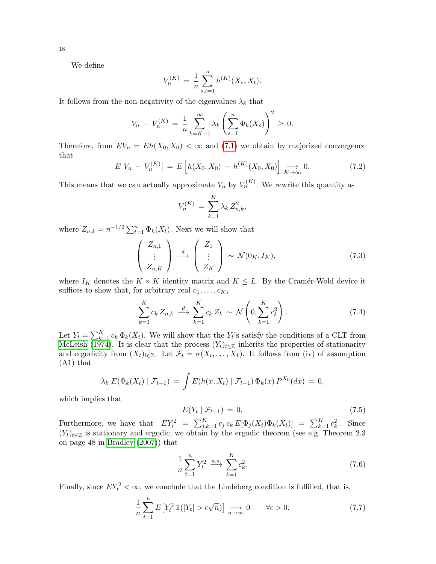We define

$$
V_n^{(K)} = \frac{1}{n} \sum_{s,t=1}^n h^{(K)}(X_s, X_t).
$$

It follows from the non-negativity of the eigenvalues  $\lambda_k$  that

$$
V_n - V_n^{(K)} = \frac{1}{n} \sum_{k=K+1}^{\infty} \lambda_k \left( \sum_{s=1}^n \Phi_k(X_s) \right)^2 \ge 0.
$$

Therefore, from  $EV_n = Eh(X_0, X_0) < \infty$  and [\(7.1\)](#page-16-1) we obtain by majorized convergence that

<span id="page-17-4"></span>
$$
E|V_n - V_n^{(K)}| = E\left[h(X_0, X_0) - h^{(K)}(X_0, X_0)\right] \xrightarrow[K \to \infty]{} 0. \tag{7.2}
$$

This means that we can actually approximate  $V_n$  by  $V_n^{(K)}$ . We rewrite this quantity as

$$
V_n^{(K)} = \sum_{k=1}^K \lambda_k Z_{n,k}^2,
$$

where  $Z_{n,k} = n^{-1/2} \sum_{t=1}^{n} \Phi_k(X_t)$ . Next we will show that

<span id="page-17-3"></span>
$$
\begin{pmatrix} Z_{n,1} \\ \vdots \\ Z_{n,K} \end{pmatrix} \stackrel{d}{\longrightarrow} \begin{pmatrix} Z_1 \\ \vdots \\ Z_K \end{pmatrix} \sim \mathcal{N}(0_K, I_K), \tag{7.3}
$$

where  $I_K$  denotes the  $K \times K$  identity matrix and  $K \leq L$ . By the Cramér-Wold device it suffices to show that, for arbitrary real  $c_1, \ldots, c_K$ ,

<span id="page-17-2"></span>
$$
\sum_{k=1}^{K} c_k Z_{n,k} \stackrel{d}{\longrightarrow} \sum_{k=1}^{K} c_k Z_k \sim \mathcal{N}\left(0, \sum_{k=1}^{K} c_k^2\right). \tag{7.4}
$$

Let  $Y_t = \sum_{k=1}^K c_k \Phi_k(X_t)$ . We will show that the  $Y_t$ 's satisfy the conditions of a CLT from [McLeish](#page-29-11) [\(1974\)](#page-29-11). It is clear that the process  $(Y_t)_{t\in\mathbb{Z}}$  inherits the properties of stationarity and ergodicity from  $(X_t)_{t\in\mathbb{Z}}$ . Let  $\mathcal{F}_t = \sigma(X_t, \ldots, X_1)$ . It follows from (iv) of assumption (A1) that

$$
\lambda_k E(\Phi_k(X_t) | \mathcal{F}_{t-1}) = \int E(h(x, X_t) | \mathcal{F}_{t-1}) \Phi_k(x) P^{X_0}(dx) = 0,
$$

which implies that

<span id="page-17-0"></span>
$$
E(Y_t \mid \mathcal{F}_{t-1}) = 0. \tag{7.5}
$$

Furthermore, we have that  $EY_t^2 = \sum_{j,k=1}^K c_j c_k E[\Phi_j(X_t)\Phi_k(X_t)] = \sum_{k=1}^K c_k^2$ . Since  $(Y_t)_{t\in\mathbb{Z}}$  is stationary and ergodic, we obtain by the ergodic theorem (see e.g. Theorem 2.3 on page 48 in [Bradley](#page-28-1) [\(2007\)](#page-28-1)) that

$$
\frac{1}{n} \sum_{t=1}^{n} Y_t^2 \xrightarrow{a.s.} \sum_{k=1}^{K} c_k^2.
$$
\n(7.6)

Finally, since  $EY_t^2 < \infty$ , we conclude that the Lindeberg condition is fulfilled, that is,

<span id="page-17-1"></span>
$$
\frac{1}{n}\sum_{t=1}^{n} E\left[Y_t^2 \mathbb{1}(|Y_t| > \epsilon \sqrt{n})\right] \underset{n \to \infty}{\longrightarrow} 0 \qquad \forall \epsilon > 0. \tag{7.7}
$$

18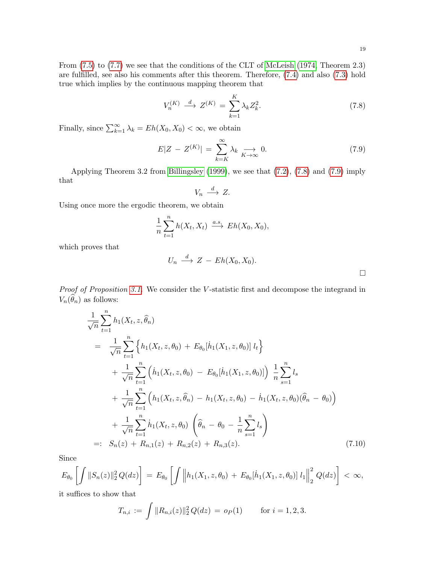From [\(7.5\)](#page-17-0) to [\(7.7\)](#page-17-1) we see that the conditions of the CLT of [McLeish](#page-29-11) [\(1974,](#page-29-11) Theorem 2.3) are fulfilled, see also his comments after this theorem. Therefore, [\(7.4\)](#page-17-2) and also [\(7.3\)](#page-17-3) hold true which implies by the continuous mapping theorem that

<span id="page-18-0"></span>
$$
V_n^{(K)} \xrightarrow{d} Z^{(K)} = \sum_{k=1}^K \lambda_k Z_k^2. \tag{7.8}
$$

Finally, since  $\sum_{k=1}^{\infty} \lambda_k = Eh(X_0, X_0) < \infty$ , we obtain

<span id="page-18-1"></span>
$$
E|Z - Z^{(K)}| = \sum_{k=K}^{\infty} \lambda_k \underset{K \to \infty}{\longrightarrow} 0. \tag{7.9}
$$

Applying Theorem 3.2 from [Billingsley](#page-27-7) [\(1999\)](#page-27-7), we see that [\(7.2\)](#page-17-4), [\(7.8\)](#page-18-0) and [\(7.9\)](#page-18-1) imply that

$$
V_n \stackrel{d}{\longrightarrow} Z.
$$

Using once more the ergodic theorem, we obtain

$$
\frac{1}{n}\sum_{t=1}^{n}h(X_t, X_t) \stackrel{a.s.}{\longrightarrow} Eh(X_0, X_0),
$$

which proves that

$$
U_n \stackrel{d}{\longrightarrow} Z - Eh(X_0, X_0).
$$

Proof of Proposition [3.1.](#page-5-0) We consider the V-statistic first and decompose the integrand in  $V_n(\widehat{\theta}_n)$  as follows:

<span id="page-18-2"></span>
$$
\frac{1}{\sqrt{n}} \sum_{t=1}^{n} h_1(X_t, z, \hat{\theta}_n)
$$
\n
$$
= \frac{1}{\sqrt{n}} \sum_{t=1}^{n} \left\{ h_1(X_t, z, \theta_0) + E_{\theta_0}[\dot{h}_1(X_1, z, \theta_0)] \, l_t \right\}
$$
\n
$$
+ \frac{1}{\sqrt{n}} \sum_{t=1}^{n} \left( \dot{h}_1(X_t, z, \theta_0) - E_{\theta_0}[\dot{h}_1(X_1, z, \theta_0)] \right) \frac{1}{n} \sum_{s=1}^{n} l_s
$$
\n
$$
+ \frac{1}{\sqrt{n}} \sum_{t=1}^{n} \left( h_1(X_t, z, \hat{\theta}_n) - h_1(X_t, z, \theta_0) - \dot{h}_1(X_t, z, \theta_0)(\hat{\theta}_n - \theta_0) \right)
$$
\n
$$
+ \frac{1}{\sqrt{n}} \sum_{t=1}^{n} \dot{h}_1(X_t, z, \theta_0) \left( \hat{\theta}_n - \theta_0 - \frac{1}{n} \sum_{s=1}^{n} l_s \right)
$$
\n
$$
=: S_n(z) + R_{n,1}(z) + R_{n,2}(z) + R_{n,3}(z).
$$
\n(7.10)

Since

$$
E_{\theta_0}\left[\int \|S_n(z)\|_2^2 Q(dz)\right] = E_{\theta_0}\left[\int \left\|h_1(X_1, z, \theta_0) + E_{\theta_0}[\dot{h}_1(X_1, z, \theta_0)] l_1\right\|_2^2 Q(dz)\right] < \infty,
$$

it suffices to show that

$$
T_{n,i} := \int \|R_{n,i}(z)\|_2^2 Q(dz) = o_P(1) \quad \text{for } i = 1,2,3.
$$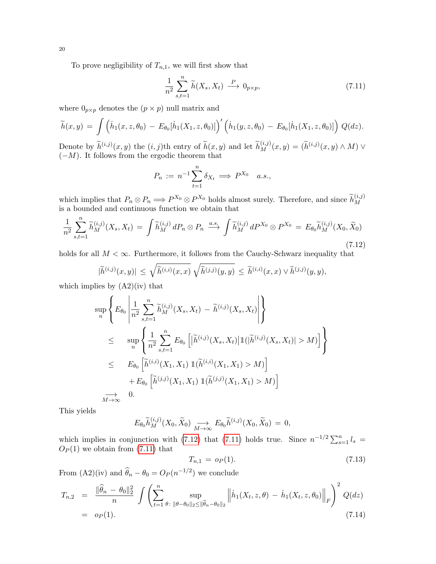To prove negligibility of  $T_{n,1}$ , we will first show that

<span id="page-19-1"></span>
$$
\frac{1}{n^2} \sum_{s,t=1}^n \widetilde{h}(X_s, X_t) \stackrel{P}{\longrightarrow} 0_{p \times p},\tag{7.11}
$$

where  $0_{p\times p}$  denotes the  $(p \times p)$  null matrix and

$$
\widetilde{h}(x,y) = \int \left( \dot{h}_1(x,z,\theta_0) - E_{\theta_0}[\dot{h}_1(X_1,z,\theta_0)] \right)' \left( \dot{h}_1(y,z,\theta_0) - E_{\theta_0}[\dot{h}_1(X_1,z,\theta_0)] \right) Q(dz).
$$

Denote by  $\widetilde{h}^{(i,j)}(x, y)$  the  $(i, j)$ th entry of  $\widetilde{h}(x, y)$  and let  $\widetilde{h}^{(i,j)}_M(x, y) = (\widetilde{h}^{(i,j)}(x, y) \wedge M) \vee$  $(-M)$ . It follows from the ergodic theorem that

$$
P_n := n^{-1} \sum_{t=1}^n \delta_{X_t} \Longrightarrow P^{X_0} \quad a.s.,
$$

which implies that  $P_n \otimes P_n \Longrightarrow P^{X_0} \otimes P^{X_0}$  holds almost surely. Therefore, and since  $\widetilde{h}_M^{(i,j)}$ M is a bounded and continuous function we obtain that

<span id="page-19-0"></span>
$$
\frac{1}{n^2} \sum_{s,t=1}^n \widetilde{h}_M^{(i,j)}(X_s, X_t) = \int \widetilde{h}_M^{(i,j)} dP_n \otimes P_n \xrightarrow{a.s.} \int \widetilde{h}_M^{(i,j)} dP^{X_0} \otimes P^{X_0} = E_{\theta_0} \widetilde{h}_M^{(i,j)}(X_0, \widetilde{X}_0)
$$
\n(7.12)

holds for all  $M < \infty$ . Furthermore, it follows from the Cauchy-Schwarz inequality that

$$
|\widetilde{h}^{(i,j)}(x,y)| \leq \sqrt{\widetilde{h}^{(i,i)}(x,x)} \sqrt{\widetilde{h}^{(j,j)}(y,y)} \leq \widetilde{h}^{(i,i)}(x,x) \vee \widetilde{h}^{(j,j)}(y,y),
$$

which implies by  $(A2)(iv)$  that

$$
\sup_{n} \left\{ E_{\theta_{0}} \left| \frac{1}{n^{2}} \sum_{s,t=1}^{n} \tilde{h}_{M}^{(i,j)}(X_{s}, X_{t}) - \tilde{h}^{(i,j)}(X_{s}, X_{t}) \right| \right\}
$$
\n
$$
\leq \sup_{n} \left\{ \frac{1}{n^{2}} \sum_{s,t=1}^{n} E_{\theta_{0}} \left[ |\tilde{h}^{(i,j)}(X_{s}, X_{t})| \mathbb{1}(|\tilde{h}^{(i,j)}(X_{s}, X_{t})| > M) \right] \right\}
$$
\n
$$
\leq E_{\theta_{0}} \left[ \tilde{h}^{(i,i)}(X_{1}, X_{1}) \mathbb{1}(\tilde{h}^{(i,i)}(X_{1}, X_{1}) > M) \right]
$$
\n
$$
+ E_{\theta_{0}} \left[ \tilde{h}^{(j,j)}(X_{1}, X_{1}) \mathbb{1}(\tilde{h}^{(j,j)}(X_{1}, X_{1}) > M) \right]
$$
\n
$$
\xrightarrow[M \to \infty]{} 0.
$$

This yields

$$
E_{\theta_0} \widetilde{h}_M^{(i,j)}(X_0, \widetilde{X}_0) \underset{M \to \infty}{\longrightarrow} E_{\theta_0} \widetilde{h}^{(i,j)}(X_0, \widetilde{X}_0) = 0,
$$

which implies in conjunction with [\(7.12\)](#page-19-0) that [\(7.11\)](#page-19-1) holds true. Since  $n^{-1/2} \sum_{s=1}^{n} l_s =$  $O_P(1)$  we obtain from  $(7.11)$  that

<span id="page-19-2"></span>
$$
T_{n,1} = o_P(1). \tag{7.13}
$$

From (A2)(iv) and  $\hat{\theta}_n - \theta_0 = O_P(n^{-1/2})$  we conclude

<span id="page-19-3"></span>
$$
T_{n,2} = \frac{\|\widehat{\theta}_n - \theta_0\|_2^2}{n} \int \left( \sum_{t=1}^n \sup_{\theta : \|\theta - \theta_0\|_2 \le \|\widehat{\theta}_n - \theta_0\|_2} \left\| \dot{h}_1(X_t, z, \theta) - \dot{h}_1(X_t, z, \theta_0) \right\|_F \right)^2 Q(dz)
$$
  
=  $o_P(1).$  (7.14)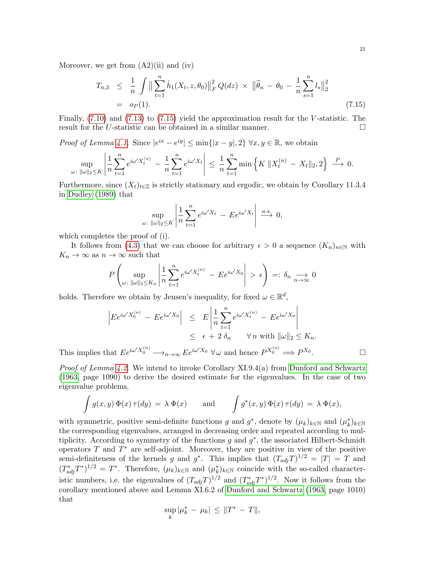Moreover, we get from  $(A2)(ii)$  and  $(iv)$ 

<span id="page-20-0"></span>
$$
T_{n,3} \leq \frac{1}{n} \int \left\| \sum_{t=1}^{n} \dot{h}_1(X_t, z, \theta_0) \right\|_F^2 Q(dz) \times \left\| \hat{\theta}_n - \theta_0 - \frac{1}{n} \sum_{s=1}^{n} l_s \right\|_2^2
$$
  
=  $o_P(1).$  (7.15)

Finally,  $(7.10)$  and  $(7.13)$  to  $(7.15)$  yield the approximation result for the V-statistic. The result for the U-statistic can be obtained in a similar manner.  $\Box$ 

*Proof of Lemma [4.1.](#page-7-3)* Since  $|e^{ix} - e^{iy}| \le \min\{|x - y|, 2\} \forall x, y \in \mathbb{R}$ , we obtain

$$
\sup_{\omega: \|\omega\|_2 \le K} \left| \frac{1}{n} \sum_{t=1}^n e^{i\omega' X_t^{(n)}} - \frac{1}{n} \sum_{t=1}^n e^{i\omega' X_t} \right| \le \frac{1}{n} \sum_{t=1}^n \min \left\{ K \, \|X_t^{(n)} - X_t\|_2, 2 \right\} \xrightarrow{P} 0.
$$

Furthermore, since  $(X_t)_{t\in\mathbb{Z}}$  is strictly stationary and ergodic, we obtain by Corollary 11.3.4 in [Dudley](#page-28-22) [\(1989\)](#page-28-22) that

$$
\sup_{\omega \colon \|\omega\|_2 \le K} \left| \frac{1}{n} \sum_{t=1}^n e^{i\omega' X_t} - E e^{i\omega' X_t} \right| \stackrel{a.s.}{\longrightarrow} 0,
$$

which completes the proof of (i).

It follows from [\(4.3\)](#page-7-1) that we can choose for arbitrary  $\epsilon > 0$  a sequence  $(K_n)_{n \in \mathbb{N}}$  with  $K_n \to \infty$  as  $n \to \infty$  such that

$$
P\left(\sup_{\omega:\;\|\omega\|_2\leq K_n}\left|\frac{1}{n}\sum_{t=1}^n e^{i\omega'X_t^{(n)}} - E e^{i\omega'X_0}\right| > \epsilon\right) =: \delta_n \underset{n\to\infty}{\longrightarrow} 0
$$

holds. Therefore we obtain by Jensen's inequality, for fixed  $\omega \in \mathbb{R}^d$ ,

$$
\begin{aligned}\n\left| E e^{i\omega' X_0^{(n)}} - E e^{i\omega' X_0} \right| &\leq E \left| \frac{1}{n} \sum_{t=1}^n e^{i\omega' X_t^{(n)}} - E e^{i\omega' X_0} \right| \\
&\leq \epsilon + 2 \delta_n \qquad \forall n \text{ with } \|\omega\|_2 \leq K_n.\n\end{aligned}
$$

This implies that  $E e^{i\omega' X_0^{(n)}} \longrightarrow_{n \to \infty} E e^{i\omega' X_0} \forall \omega$  and hence  $P^{X_0^{(n)}} \Longrightarrow P^{X_0}$ . — Первый проста в сервести в сервести в сервести в сервести в сервести в сервести в сервести в сервести в се<br>В сервести в сервести в сервести в сервести в сервести в сервести в сервести в сервести в сервести в сервести<br>

*Proof of Lemma [4.2.](#page-7-0)* We intend to invoke Corollary  $XI.9.4(a)$  from [Dunford and Schwartz](#page-28-4) [\(1963,](#page-28-4) page 1090) to derive the desired estimate for the eigenvalues. In the case of two eigenvalue problems,

$$
\int g(x, y) \Phi(x) \tau(dy) = \lambda \Phi(x) \quad \text{and} \quad \int g^*(x, y) \Phi(x) \tau(dy) = \lambda \Phi(x),
$$

with symmetric, positive semi-definite functions g and  $g^*$ , denote by  $(\mu_k)_{k \in \mathbb{N}}$  and  $(\mu_k^*)_{k \in \mathbb{N}}$ the corresponding eigenvalues, arranged in decreasing order and repeated according to multiplicity. According to symmetry of the functions  $g$  and  $g^*$ , the associated Hilbert-Schmidt operators  $T$  and  $T^*$  are self-adjoint. Moreover, they are positive in view of the positive semi-definiteness of the kernels g and  $g^*$ . This implies that  $(T_{adj}T)^{1/2} = |T| = T$  and  $(T^*_{adj}T^*)^{1/2} = T^*$ . Therefore,  $(\mu_k)_{k \in \mathbb{N}}$  and  $(\mu_k^*)_{k \in \mathbb{N}}$  coincide with the so-called characteristic numbers, i.e. the eigenvalues of  $(T_{adj}T)^{1/2}$  and  $(T_{adj}^*T^*)^{1/2}$ . Now it follows from the corollary mentioned above and Lemma XI.6.2 of [Dunford and Schwartz](#page-28-4) [\(1963,](#page-28-4) page 1010) that

$$
\sup_{k} |\mu_k^* - \mu_k| \leq ||T^* - T||,
$$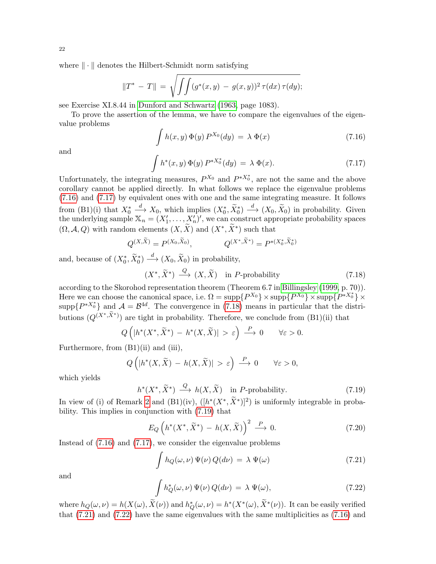where  $\|\cdot\|$  denotes the Hilbert-Schmidt norm satisfying

$$
||T^* - T|| = \sqrt{\int \int (g^*(x, y) - g(x, y))^2 \tau(dx) \tau(dy)};
$$

see Exercise XI.8.44 in [Dunford and Schwartz](#page-28-4) [\(1963,](#page-28-4) page 1083).

To prove the assertion of the lemma, we have to compare the eigenvalues of the eigenvalue problems

<span id="page-21-0"></span>
$$
\int h(x, y) \Phi(y) P^{X_0}(dy) = \lambda \Phi(x)
$$
\n(7.16)

and

<span id="page-21-1"></span>
$$
\int h^*(x, y) \, \Phi(y) \, P^{*X_0^*}(dy) \, = \, \lambda \, \Phi(x). \tag{7.17}
$$

Unfortunately, the integrating measures,  $P^{X_0}$  and  $P^{*X_0^*}$ , are not the same and the above corollary cannot be applied directly. In what follows we replace the eigenvalue problems [\(7.16\)](#page-21-0) and [\(7.17\)](#page-21-1) by equivalent ones with one and the same integrating measure. It follows from  $(B1)(i)$  that  $X_0^*$  $\frac{d}{dx} X_0$ , which implies  $(X_0^*, \tilde{X}_0^*) \stackrel{d}{\longrightarrow} (X_0, \tilde{X}_0)$  in probability. Given the underlying sample  $\mathbb{X}_n = (X'_1, \ldots, X'_n)'$ , we can construct appropriate probability spaces  $(\Omega, \mathcal{A}, Q)$  with random elements  $(X, \tilde{X})$  and  $(X^*, \tilde{X}^*)$  such that

$$
Q^{(X,\widetilde{X})} = P^{(X_0,\widetilde{X}_0)}, \qquad Q^{(X^*,\widetilde{X}^*)} = P^{*(X_0^*,\widetilde{X}_0^*)}
$$

and, because of  $(X_0^*, \tilde{X}_0^*) \stackrel{d}{\longrightarrow} (X_0, \tilde{X}_0)$  in probability,

<span id="page-21-2"></span>
$$
(X^*, \widetilde{X}^*) \stackrel{Q}{\longrightarrow} (X, \widetilde{X}) \quad \text{in } P\text{-probability}
$$
\n
$$
(7.18)
$$

according to the Skorohod representation theorem (Theorem 6.7 in [Billingsley](#page-27-7) [\(1999,](#page-27-7) p. 70)). Here we can choose the canonical space, i.e.  $\Omega = \text{supp}\{P^{X_0}\}\times \text{supp}\{P^{X_0}\}\times \text{supp}\{P^{*X_0^*}\}\times$ supp $\{P^{*X_0^*}\}\$  and  $\mathcal{A} = \mathcal{B}^{4d}$ . The convergence in [\(7.18\)](#page-21-2) means in particular that the distributions  $(Q^{(X^*,\tilde{X}^*)})$  are tight in probability. Therefore, we conclude from  $(B1)(ii)$  that

$$
Q\left(|h^*(X^*,\widetilde{X}^*) - h^*(X,\widetilde{X})| > \varepsilon\right) \xrightarrow{P} 0 \qquad \forall \varepsilon > 0.
$$

Furthermore, from  $(B1)(ii)$  and  $(iii)$ ,

$$
Q\left(|h^*(X,\widetilde{X}) - h(X,\widetilde{X})| > \varepsilon\right) \stackrel{P}{\longrightarrow} 0 \qquad \forall \varepsilon > 0,
$$

which yields

<span id="page-21-3"></span>
$$
h^*(X^*, \widetilde{X}^*) \xrightarrow{Q} h(X, \widetilde{X}) \quad \text{in } P\text{-probability.}
$$
\n
$$
(7.19)
$$

In view of (i) of Remark [2](#page-2-0) and  $(B1)(iv)$ ,  $([h^*(X^*, \tilde{X}^*)]^2)$  is uniformly integrable in probability. This implies in conjunction with [\(7.19\)](#page-21-3) that

<span id="page-21-6"></span>
$$
E_Q\left(h^*(X^*,\widetilde{X}^*) - h(X,\widetilde{X})\right)^2 \xrightarrow{P} 0. \tag{7.20}
$$

Instead of [\(7.16\)](#page-21-0) and [\(7.17\)](#page-21-1), we consider the eigenvalue problems

<span id="page-21-4"></span>
$$
\int h_Q(\omega,\nu) \Psi(\nu) Q(d\nu) = \lambda \Psi(\omega)
$$
\n(7.21)

and

<span id="page-21-5"></span>
$$
\int h_Q^*(\omega,\nu)\,\Psi(\nu)\,Q(d\nu)\,=\,\lambda\,\Psi(\omega),\tag{7.22}
$$

where  $h_Q(\omega, \nu) = h(X(\omega), \tilde{X}(\nu))$  and  $h_Q^*(\omega, \nu) = h^*(X^*(\omega), \tilde{X}^*(\nu))$ . It can be easily verified that [\(7.21\)](#page-21-4) and [\(7.22\)](#page-21-5) have the same eigenvalues with the same multiplicities as [\(7.16\)](#page-21-0) and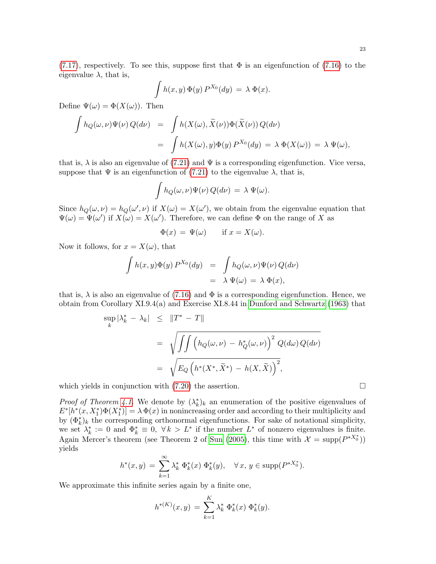$$
\int h(x,y)\,\Phi(y)\,P^{X_0}(dy) = \lambda\,\Phi(x).
$$

Define  $\Psi(\omega) = \Phi(X(\omega))$ . Then

$$
\int h_Q(\omega,\nu)\Psi(\nu) Q(d\nu) = \int h(X(\omega), \tilde{X}(\nu))\Phi(\tilde{X}(\nu)) Q(d\nu)
$$
  
= 
$$
\int h(X(\omega), y)\Phi(y) P^{X_0}(dy) = \lambda \Phi(X(\omega)) = \lambda \Psi(\omega),
$$

that is,  $\lambda$  is also an eigenvalue of [\(7.21\)](#page-21-4) and  $\Psi$  is a corresponding eigenfunction. Vice versa, suppose that  $\Psi$  is an eigenfunction of [\(7.21\)](#page-21-4) to the eigenvalue  $\lambda$ , that is,

$$
\int h_Q(\omega,\nu)\Psi(\nu)\,Q(d\nu) = \lambda\,\Psi(\omega).
$$

Since  $h_Q(\omega, \nu) = h_Q(\omega', \nu)$  if  $X(\omega) = X(\omega')$ , we obtain from the eigenvalue equation that  $\Psi(\omega) = \Psi(\omega')$  if  $X(\omega) = X(\omega')$ . Therefore, we can define  $\Phi$  on the range of X as

$$
\Phi(x) = \Psi(\omega) \quad \text{if } x = X(\omega).
$$

Now it follows, for  $x = X(\omega)$ , that

$$
\int h(x, y)\Phi(y) P^{X_0}(dy) = \int h_Q(\omega, \nu)\Psi(\nu) Q(d\nu)
$$
  
=  $\lambda \Psi(\omega) = \lambda \Phi(x),$ 

that is,  $\lambda$  is also an eigenvalue of [\(7.16\)](#page-21-0) and  $\Phi$  is a corresponding eigenfunction. Hence, we obtain from Corollary XI.9.4(a) and Exercise XI.8.44 in [Dunford and Schwartz](#page-28-4) [\(1963\)](#page-28-4) that

$$
\sup_{k} |\lambda_{k}^{*} - \lambda_{k}| \leq \|T^{*} - T\|
$$
\n
$$
= \sqrt{\int \int \left( h_{Q}(\omega, \nu) - h_{Q}^{*}(\omega, \nu) \right)^{2} Q(d\omega) Q(d\nu)}
$$
\n
$$
= \sqrt{E_{Q} \left( h^{*}(X^{*}, \widetilde{X}^{*}) - h(X, \widetilde{X}) \right)^{2}},
$$

which yields in conjunction with  $(7.20)$  the assertion.

*Proof of Theorem [4.1.](#page-7-2)* We denote by  $(\lambda_k^*)_k$  an enumeration of the positive eigenvalues of  $E^*[h^*(x, X_1^*)\Phi(X_1^*)] = \lambda \Phi(x)$  in nonincreasing order and according to their multiplicity and by  $(\Phi_k^*)_k$  the corresponding orthonormal eigenfunctions. For sake of notational simplicity, we set  $\lambda_k^* := 0$  and  $\Phi_k^* \equiv 0$ ,  $\forall k > L^*$  if the number  $L^*$  of nonzero eigenvalues is finite. Again Mercer's theorem (see Theorem 2 of [Sun](#page-29-4) [\(2005\)](#page-29-4), this time with  $\mathcal{X} = \text{supp}(P^{*X_0^*})$ ) yields

$$
h^*(x, y) = \sum_{k=1}^{\infty} \lambda_k^* \Phi_k^*(x) \Phi_k^*(y), \quad \forall x, y \in \text{supp}(P^{*X_0^*}).
$$

We approximate this infinite series again by a finite one,

$$
h^{*(K)}(x,y) = \sum_{k=1}^{K} \lambda_k^* \Phi_k^*(x) \Phi_k^*(y).
$$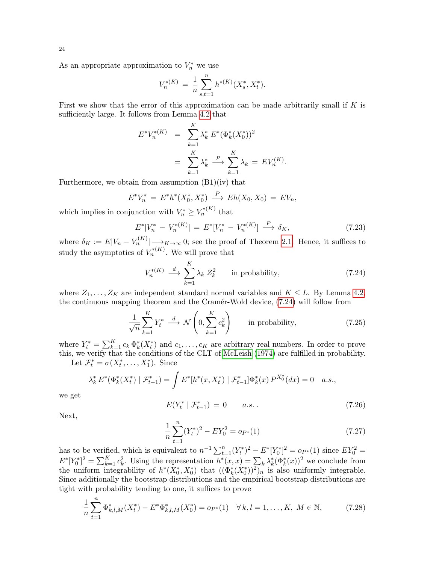As an appropriate approximation to  $V_n^*$  we use

$$
V_n^{*(K)} = \frac{1}{n} \sum_{s,t=1}^n h^{*(K)}(X_s^*, X_t^*).
$$

First we show that the error of this approximation can be made arbitrarily small if  $K$  is sufficiently large. It follows from Lemma [4.2](#page-7-0) that

$$
E^*V_n^{*(K)} = \sum_{k=1}^K \lambda_k^* E^*(\Phi_k^*(X_0^*))^2
$$
  
= 
$$
\sum_{k=1}^K \lambda_k^* \stackrel{P}{\longrightarrow} \sum_{k=1}^K \lambda_k = EV_n^{(K)}
$$

Furthermore, we obtain from assumption  $(B1)(iv)$  that

$$
E^*V_n^* = E^*h^*(X_0^*, X_0^*) \xrightarrow{P} Eh(X_0, X_0) = EV_n,
$$

which implies in conjunction with  $V_n^* \geq V_n^{*(K)}$  that

<span id="page-23-5"></span>
$$
E^*|V_n^* - V_n^{*(K)}| = E^*[V_n^* - V_n^{*(K)}] \xrightarrow{P} \delta_K,
$$
\n(7.23)

.

where  $\delta_K := E|V_n - V_n^{(K)}| \longrightarrow_{K \to \infty} 0$ ; see the proof of Theorem [2.1.](#page-4-1) Hence, it suffices to study the asymptotics of  $V_n^{*(K)}$ . We will prove that

<span id="page-23-0"></span>
$$
V_n^{*(K)} \stackrel{d}{\longrightarrow} \sum_{k=1}^K \lambda_k Z_k^2 \qquad \text{in probability}, \tag{7.24}
$$

where  $Z_1, \ldots, Z_K$  are independent standard normal variables and  $K \leq L$ . By Lemma [4.2,](#page-7-0) the continuous mapping theorem and the Cramér-Wold device,  $(7.24)$  will follow from

<span id="page-23-4"></span>
$$
\frac{1}{\sqrt{n}} \sum_{k=1}^{K} Y_t^* \stackrel{d}{\longrightarrow} \mathcal{N}\left(0, \sum_{k=1}^{K} c_k^2\right) \qquad \text{in probability},\tag{7.25}
$$

where  $Y_t^* = \sum_{k=1}^K c_k \Phi_k^*(X_t^*)$  and  $c_1, \ldots, c_K$  are arbitrary real numbers. In order to prove this, we verify that the conditions of the CLT of [McLeish](#page-29-11) [\(1974\)](#page-29-11) are fulfilled in probability.

Let  $\mathcal{F}_t^* = \sigma(X_t^*, \ldots, X_1^*)$ . Since

$$
\lambda_k^* E^*(\Phi_k^*(X_t^*) \mid \mathcal{F}_{t-1}^*) = \int E^*[h^*(x, X_t^*) \mid \mathcal{F}_{t-1}^*] \Phi_k^*(x) P^{X_0^*}(dx) = 0 \quad a.s.,
$$

we get

<span id="page-23-3"></span>
$$
E(Y_t^* | \mathcal{F}_{t-1}^*) = 0 \qquad a.s. \tag{7.26}
$$

Next,

<span id="page-23-2"></span>
$$
\frac{1}{n}\sum_{t=1}^{n}(Y_t^*)^2 - EY_0^2 = o_{P^*}(1)
$$
\n(7.27)

has to be verified, which is equivalent to  $n^{-1} \sum_{t=1}^{n} (Y_t^*)^2 - E^*[Y_0^*]^2 = o_{P^*}(1)$  since  $EY_0^2 =$  $E^*[Y_0^*]^2 = \sum_{k=1}^K c_k^2$ . Using the representation  $h^*(x, x) = \sum_k \lambda_k^* (\Phi_k^*(x))^2$  we conclude from the uniform integrability of  $h^*(X_0^*, X_0^*)$  that  $((\Phi_k^*(X_0^*))^2)_n$  is also uniformly integrable. Since additionally the bootstrap distributions and the empirical bootstrap distributions are tight with probability tending to one, it suffices to prove

<span id="page-23-1"></span>
$$
\frac{1}{n}\sum_{t=1}^{n}\Phi_{k,l,M}^{*}(X_{t}^{*}) - E^{*}\Phi_{k,l,M}^{*}(X_{0}^{*}) = o_{P^{*}}(1) \quad \forall k,l = 1,\ldots,K, M \in \mathbb{N},\tag{7.28}
$$

24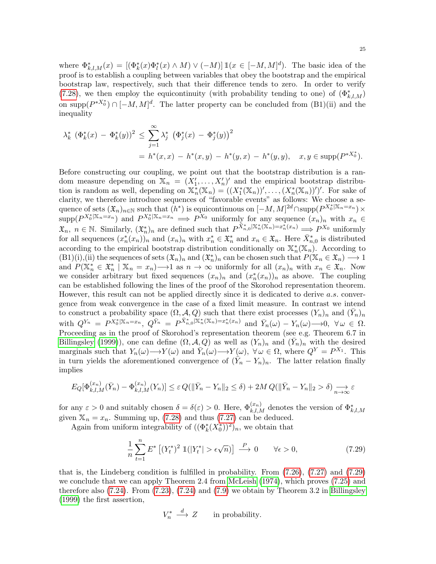where  $\Phi_{k,l,M}^*(x) = [(\Phi_k^*(x) \Phi_l^*(x) \wedge M) \vee (-M)] \mathbb{1}(x \in [-M, M]^d)$ . The basic idea of the proof is to establish a coupling between variables that obey the bootstrap and the empirical bootstrap law, respectively, such that their difference tends to zero. In order to verify [\(7.28\)](#page-23-1), we then employ the equicontinuity (with probability tending to one) of  $(\Phi_{k,l,M}^*)$ on supp $(P^{*X_0^*}) \cap [-M, M]^d$ . The latter property can be concluded from  $(B1)(ii)$  and the inequality

$$
\lambda_k^* \left( \Phi_k^*(x) - \Phi_k^*(y) \right)^2 \le \sum_{j=1}^\infty \lambda_j^* \left( \Phi_j^*(x) - \Phi_j^*(y) \right)^2
$$
  
=  $h^*(x, x) - h^*(x, y) - h^*(y, x) - h^*(y, y), \quad x, y \in \text{supp}(P^{*X_0^*}).$ 

Before constructing our coupling, we point out that the bootstrap distribution is a random measure depending on  $\mathbb{X}_n = (X'_1, \ldots, X'_n)'$  and the empirical bootstrap distribution is random as well, depending on  $\mathbb{X}_n^*(\mathbb{X}_n) = ((X_1^*(\mathbb{X}_n))', \ldots, (X_n^*(\mathbb{X}_n))')'.$  For sake of clarity, we therefore introduce sequences of "favorable events" as follows: We choose a sequence of sets  $(\mathfrak{X}_n)_{n\in\mathbb{N}}$  such that  $(h^*)$  is equicontinuous on  $[-M, M]^{2d} \cap \text{supp}(P^{X_0^*|\mathbb{X}_n=x_n}) \times$  $\supp(P^{X_0^*|X_n=x_n})$  and  $P^{X_0^*|X_n=x_n} \implies P^{X_0}$  uniformly for any sequence  $(x_n)_n$  with  $x_n \in$  $\mathfrak{X}_n, n \in \mathbb{N}$ . Similarly,  $(\mathfrak{X}_n^*)_n$  are defined such that  $P^{\bar{X}_{n,0}^*[\mathbb{X}_n] \times \pi_n^*({\mathbb{X}_n}) = x_n^*({x_n})} \Longrightarrow P^{X_0}$  uniformly for all sequences  $(x_n^*(x_n))_n$  and  $(x_n)_n$  with  $x_n^* \in \mathfrak{X}_n^*$  and  $x_n \in \mathfrak{X}_n$ . Here  $\bar{X}_{n,0}^*$  is distributed according to the empirical bootstrap distribution conditionally on  $\mathbb{X}_n^*(\mathbb{X}_n)$ . According to  $(B1)(i), (ii)$  the sequences of sets  $(\mathfrak{X}_n)_n$  and  $(\mathfrak{X}_n)_n$  can be chosen such that  $P(\mathbb{X}_n \in \mathfrak{X}_n) \longrightarrow 1$ and  $P(\mathbb{X}_n^* \in \mathfrak{X}_n^* \mid \mathbb{X}_n = x_n) \longrightarrow 1$  as  $n \to \infty$  uniformly for all  $(x_n)_n$  with  $x_n \in \mathfrak{X}_n$ . Now we consider arbitrary but fixed sequences  $(x_n)_n$  and  $(x_n^*(x_n))_n$  as above. The coupling can be established following the lines of the proof of the Skorohod representation theorem. However, this result can not be applied directly since it is dedicated to derive a.s. convergence from weak convergence in the case of a fixed limit measure. In contrast we intend to construct a probability space  $(\Omega, \mathcal{A}, Q)$  such that there exist processes  $(Y_n)_n$  and  $(\bar{Y}_n)_n$ with  $Q^{Y_n} = P^{X_0^*|X_n=x_n}$ ,  $Q^{\bar{Y}_n} = P^{\bar{X}_{n,0}^*|\mathbb{X}_n^*(X_n)=x_n^*(x_n)}$  and  $\bar{Y}_n(\omega) - Y_n(\omega) \longrightarrow 0$ ,  $\forall \omega \in \Omega$ . Proceeding as in the proof of Skorohod's representation theorem (see e.g. Theorem 6.7 in [Billingsley](#page-27-7) [\(1999\)](#page-27-7)), one can define  $(\Omega, \mathcal{A}, Q)$  as well as  $(Y_n)_n$  and  $(\bar{Y}_n)_n$  with the desired marginals such that  $Y_n(\omega) \longrightarrow Y(\omega)$  and  $\overline{Y}_n(\omega) \longrightarrow Y(\omega)$ ,  $\forall \omega \in \Omega$ , where  $Q^Y = P^{X_1}$ . This in turn yields the aforementioned convergence of  $(\tilde{Y}_n - Y_n)_n$ . The latter relation finally implies

$$
E_Q[\Phi_{k,l,M}^{(x_n)}(\bar{Y}_n) - \Phi_{k,l,M}^{(x_n)}(Y_n)] \leq \varepsilon Q(\|\bar{Y}_n - Y_n\|_2 \leq \delta) + 2M Q(\|\bar{Y}_n - Y_n\|_2 > \delta) \underset{n \to \infty}{\longrightarrow} \varepsilon
$$

for any  $\varepsilon > 0$  and suitably chosen  $\delta = \delta(\varepsilon) > 0$ . Here,  $\Phi_{k,l,M}^{(x_n)}$  denotes the version of  $\Phi_{k,l,M}^*$ given  $\mathbb{X}_n = x_n$ . Summing up, [\(7.28\)](#page-23-1) and thus [\(7.27\)](#page-23-2) can be deduced.

Again from uniform integrability of  $((\Phi_k^*(X_0^*))^2)_n$ , we obtain that

<span id="page-24-0"></span>
$$
\frac{1}{n}\sum_{t=1}^{n} E^* \left[ (Y_t^*)^2 \mathbb{1}(|Y_t^*| > \epsilon \sqrt{n}) \right] \xrightarrow{P} 0 \qquad \forall \epsilon > 0,
$$
\n(7.29)

that is, the Lindeberg condition is fulfilled in probability. From [\(7.26\)](#page-23-3), [\(7.27\)](#page-23-2) and [\(7.29\)](#page-24-0) we conclude that we can apply Theorem 2.4 from [McLeish](#page-29-11) [\(1974\)](#page-29-11), which proves [\(7.25\)](#page-23-4) and therefore also [\(7.24\)](#page-23-0). From [\(7.23\)](#page-23-5), [\(7.24\)](#page-23-0) and [\(7.9\)](#page-18-1) we obtain by Theorem 3.2 in [Billingsley](#page-27-7) [\(1999\)](#page-27-7) the first assertion,

$$
V_n^* \stackrel{d}{\longrightarrow} Z \qquad \text{in probability.}
$$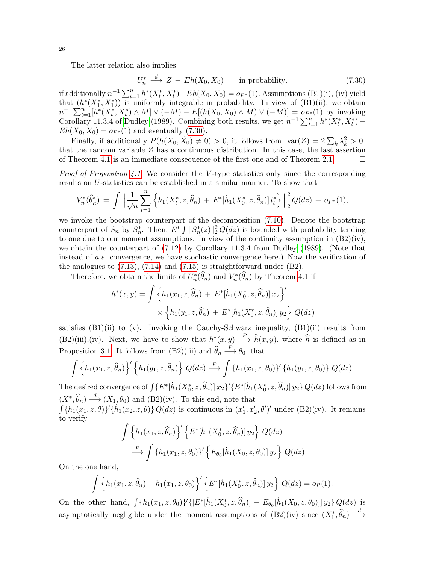The latter relation also implies

<span id="page-25-0"></span>
$$
U_n^* \xrightarrow{d} Z - Eh(X_0, X_0) \quad \text{in probability.} \tag{7.30}
$$

if additionally  $n^{-1} \sum_{t=1}^{n} h^*(X_t^*, X_t^*) - Eh(X_0, X_0) = o_{P^*}(1)$ . Assumptions (B1)(i), (iv) yield that  $(h^*(X_1^*, X_1^*))$  is uniformly integrable in probability. In view of  $(B1)(ii)$ , we obtain  $n^{-1}\sum_{t=1}^{n} [h^*(X_t^*, X_t^*) \wedge M] \vee (-M) - E[(h(X_0, X_0) \wedge M) \vee (-M)] = o_{P^*}(1)$  by invoking Corollary 11.3.4 of [Dudley](#page-28-22) [\(1989\)](#page-28-22). Combining both results, we get  $n^{-1}\sum_{t=1}^{n} h^*(X_t^*, X_t^*)$  –  $Eh(X_0, X_0) = o_{P^*}(1)$  and eventually [\(7.30\)](#page-25-0).

Finally, if additionally  $P(h(X_0, \tilde{X}_0) \neq 0) > 0$ , it follows from  $var(Z) = 2\sum_k \lambda_k^2 > 0$ that the random variable  $Z$  has a continuous distribution. In this case, the last assertion of Theorem [4.1](#page-7-2) is an immediate consequence of the first one and of Theorem [2.1.](#page-4-1)  $\Box$ 

*Proof of Proposition [4.1.](#page-8-1)* We consider the V-type statistics only since the corresponding results on U-statistics can be established in a similar manner. To show that

$$
V_n^*(\widehat{\theta}_n^*) = \int \left\| \frac{1}{\sqrt{n}} \sum_{t=1}^n \left\{ h_1(X_t^*, z, \widehat{\theta}_n) + E^*[h_1(X_0^*, z, \widehat{\theta}_n)] \, l_t^* \right\} \right\|_2^2 Q(dz) + op^*(1),
$$

we invoke the bootstrap counterpart of the decomposition [\(7.10\)](#page-18-2). Denote the bootstrap counterpart of  $S_n$  by  $S_n^*$ . Then,  $E^* \int ||S_n^*(z)||_2^2 Q(dz)$  is bounded with probability tending to one due to our moment assumptions. In view of the continuity assumption in (B2)(iv), we obtain the counterpart of [\(7.12\)](#page-19-0) by Corollary 11.3.4 from [Dudley](#page-28-22) [\(1989\)](#page-28-22). (Note that instead of a.s. convergence, we have stochastic convergence here.) Now the verification of the analogues to [\(7.13\)](#page-19-2), [\(7.14\)](#page-19-3) and [\(7.15\)](#page-20-0) is straightforward under (B2).

Therefore, we obtain the limits of  $U_n^*(\widehat{\theta}_n)$  and  $V_n^*(\widehat{\theta}_n)$  by Theorem [4.1](#page-7-2) if

$$
h^*(x, y) = \int \left\{ h_1(x_1, z, \hat{\theta}_n) + E^*[\dot{h}_1(X_0^*, z, \hat{\theta}_n)] x_2 \right\}' \times \left\{ h_1(y_1, z, \hat{\theta}_n) + E^*[\dot{h}_1(X_0^*, z, \hat{\theta}_n)] y_2 \right\} Q(dz)
$$

satisfies  $(B1)(ii)$  to  $(v)$ . Invoking the Cauchy-Schwarz inequality,  $(B1)(ii)$  results from  $(B2)(iii)$ , (iv). Next, we have to show that  $h^*(x, y) \stackrel{P}{\longrightarrow} \hat{h}(x, y)$ , where  $\hat{h}$  is defined as in Proposition [3.1.](#page-5-0) It follows from (B2)(iii) and  $\hat{\theta}_n \stackrel{P}{\longrightarrow} \theta_0$ , that

$$
\int \left\{ h_1(x_1, z, \widehat{\theta}_n) \right\}^{\prime} \left\{ h_1(y_1, z, \widehat{\theta}_n) \right\} Q(dz) \stackrel{P}{\longrightarrow} \int \left\{ h_1(x_1, z, \theta_0) \right\}^{\prime} \left\{ h_1(y_1, z, \theta_0) \right\} Q(dz).
$$

The desired convergence of  $\int \{E^*[h_1(X_0^*, z, \widehat{\theta}_n)] | x_2\}' \{E^*[h_1(X_0^*, z, \widehat{\theta}_n)] | y_2\} Q(dz)$  follows from  $(X_1^*, \hat{\theta}_n) \stackrel{d}{\longrightarrow} (X_1, \theta_0)$  and  $(B2)(iv)$ . To this end, note that

 $\int {\{\tilde{h}_1(x_1, z, \theta)\}}'{\{\tilde{h}_1(x_2, z, \theta)\}} Q(dz)$  is continuous in  $(x'_1, x'_2, \theta')'$  under (B2)(iv). It remains to verify

$$
\int \left\{ h_1(x_1, z, \hat{\theta}_n) \right\}' \left\{ E^*[\dot{h}_1(X_0^*, z, \hat{\theta}_n)] y_2 \right\} Q(dz)
$$

$$
\xrightarrow{P} \int \left\{ h_1(x_1, z, \theta_0) \right\}' \left\{ E_{\theta_0}[\dot{h}_1(X_0, z, \theta_0)] y_2 \right\} Q(dz)
$$

On the one hand,

$$
\int \left\{ h_1(x_1, z, \hat{\theta}_n) - h_1(x_1, z, \theta_0) \right\}' \left\{ E^*[\dot{h}_1(X_0^*, z, \hat{\theta}_n)] y_2 \right\} Q(dz) = o_P(1).
$$

On the other hand,  $\int {\{h_1(x_1, z, \theta_0)\}'\{[E^*[\dot{h}_1(X_0^*, z, \hat{\theta}_n)] - E_{\theta_0}[\dot{h}_1(X_0, z, \theta_0)]]\}y_2\} Q(dz)$  is asymptotically negligible under the moment assumptions of  $(B2)(iv)$  since  $(X_1^*, \hat{\theta}_n) \stackrel{d}{\longrightarrow}$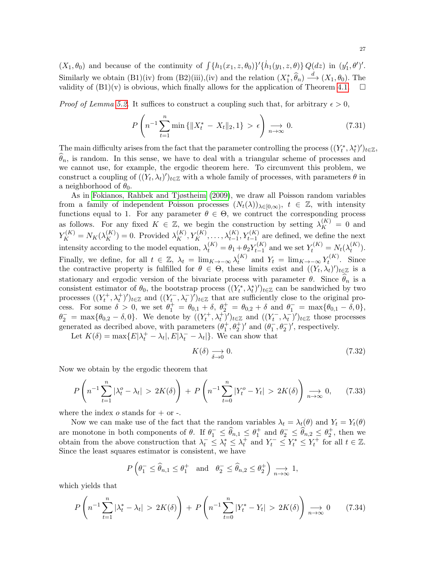$(X_1, \theta_0)$  and because of the continuity of  $\int {\{h_1(x_1, z, \theta_0)\}' \{h_1(y_1, z, \theta)\}} Q(dz)$  in  $(y'_1, \theta')'.$ Similarly we obtain  $(B1)(iv)$  from  $(B2)(iii)$ , (iv) and the relation  $(X_1^*, \hat{\theta}_n) \xrightarrow{d} (X_1, \theta_0)$ . The validity of  $(B1)(v)$  is obvious, which finally allows for the application of Theorem [4.1.](#page-7-2)  $\Box$ 

*Proof of Lemma [5.2.](#page-15-1)* It suffices to construct a coupling such that, for arbitrary  $\epsilon > 0$ ,

<span id="page-26-1"></span>
$$
P\left(n^{-1}\sum_{t=1}^{n}\min\{\|X_t^*-X_t\|_2,1\} > \epsilon\right) \underset{n\to\infty}{\longrightarrow} 0. \tag{7.31}
$$

The main difficulty arises from the fact that the parameter controlling the process  $((Y_t^*, \lambda_t^*)')_{t \in \mathbb{Z}}$ ,  $\widehat{\theta}_n$ , is random. In this sense, we have to deal with a triangular scheme of processes and we cannot use, for example, the ergodic theorem here. To circumvent this problem, we construct a coupling of  $((Y_t, \lambda_t)')_{t \in \mathbb{Z}}$  with a whole family of processes, with parameters  $\theta$  in a neighborhood of  $\theta_0$ .

As in [Fokianos, Rahbek and Tjøstheim](#page-28-19) [\(2009\)](#page-28-19), we draw all Poisson random variables from a family of independent Poisson processes  $(N_t(\lambda))_{\lambda \in [0,\infty)}$ ,  $t \in \mathbb{Z}$ , with intensity functions equal to 1. For any parameter  $\theta \in \Theta$ , we contruct the corresponding process as follows. For any fixed  $K \in \mathbb{Z}$ , we begin the construction by setting  $\lambda_K^{(K)} = 0$  and  $Y_K^{(K)} = N_K(\lambda_K^{(K)}) = 0$ . Provided  $\lambda_K^{(K)}, Y_K^{(K)}, \ldots, \lambda_{t-1}^{(K)}, Y_{t-1}^{(K)}$  are defined, we define the next intensity according to the model equation,  $\lambda_t^{(K)} = \theta_1 + \theta_2 Y_{t-1}^{(K)}$  $t_{t-1}^{(K)}$  and we set  $Y_t^{(K)} = N_t(\lambda_t^{(K)})$  $\binom{(\mathbf{A})}{t}$ . Finally, we define, for all  $t \in \mathbb{Z}$ ,  $\lambda_t = \lim_{K \to -\infty} \lambda_t^{(K)}$  $t_t^{(K)}$  and  $Y_t = \lim_{K \to -\infty} Y_t^{(K)}$  $t^{(n)}$ . Since the contractive property is fulfilled for  $\theta \in \Theta$ , these limits exist and  $((Y_t, \lambda_t)')_{t \in \mathbb{Z}}$  is a stationary and ergodic version of the bivariate process with parameter  $\theta$ . Since  $\theta_n$  is a consistent estimator of  $\theta_0$ , the bootstrap process  $((Y_t^*, \lambda_t^*)')_{t \in \mathbb{Z}}$  can be sandwiched by two processes  $((Y_t^+, \lambda_t^+))_{t \in \mathbb{Z}}$  and  $((Y_t^-, \lambda_t^-))_{t \in \mathbb{Z}}$  that are sufficiently close to the original process. For some  $\delta > 0$ , we set  $\theta_1^+ = \theta_{0,1} + \delta$ ,  $\theta_2^+ = \theta_{0,2} + \delta$  and  $\theta_1^- = \max{\theta_{0,1} - \delta, 0}$ ,  $\theta_2^- = \max{\theta_{0,2} - \delta, 0}$ . We denote by  $((Y_t^+, \lambda_t^+)')_{t \in \mathbb{Z}}$  and  $((Y_t^-, \lambda_t^-)')_{t \in \mathbb{Z}}$  those processes generated as decribed above, with parameters  $(\theta_1^+, \theta_2^+)$  and  $(\theta_1^-, \theta_2^-)$ , respectively.

Let  $K(\delta) = \max\{E|\lambda_t^+ - \lambda_t|, E|\lambda_t^- - \lambda_t|\}.$  We can show that

$$
K(\delta) \xrightarrow[\delta \to 0]{} 0. \tag{7.32}
$$

Now we obtain by the ergodic theorem that

$$
P\left(n^{-1}\sum_{t=1}^{n}|\lambda_{t}^{o}-\lambda_{t}|>2K(\delta)\right)+P\left(n^{-1}\sum_{t=0}^{n}|Y_{t}^{o}-Y_{t}|>2K(\delta)\right)\underset{n\to\infty}{\longrightarrow}0,\qquad(7.33)
$$

where the index  $o$  stands for  $+$  or  $-$ .

Now we can make use of the fact that the random variables  $\lambda_t = \lambda_t(\theta)$  and  $Y_t = Y_t(\theta)$ are monotone in both components of  $\theta$ . If  $\theta_1^- \leq \widehat{\theta}_{n,1} \leq \theta_1^+$  and  $\theta_2^- \leq \widehat{\theta}_{n,2} \leq \theta_2^+$ , then we obtain from the above construction that  $\lambda_t^- \leq \lambda_t^* \leq \lambda_t^+$  and  $Y_t^- \leq Y_t^* \leq Y_t^+$  for all  $t \in \mathbb{Z}$ . Since the least squares estimator is consistent, we have

$$
P\left(\theta_1^- \leq \hat{\theta}_{n,1} \leq \theta_1^+ \text{ and } \theta_2^- \leq \hat{\theta}_{n,2} \leq \theta_2^+\right) \underset{n \to \infty}{\longrightarrow} 1,
$$

which yields that

<span id="page-26-0"></span>
$$
P\left(n^{-1}\sum_{t=1}^{n}|\lambda_{t}^{*}-\lambda_{t}|>2K(\delta)\right)+P\left(n^{-1}\sum_{t=0}^{n}|Y_{t}^{*}-Y_{t}|>2K(\delta)\right)\underset{n\to\infty}{\longrightarrow}0\qquad(7.34)
$$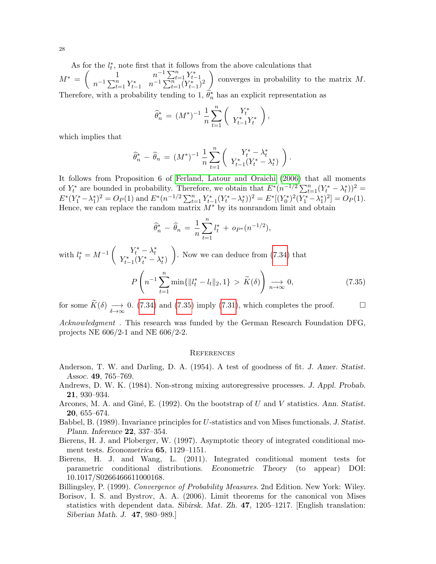As for the  $l_t^*$ , note first that it follows from the above calculations that

 $M^* = \begin{pmatrix} 1 & n^{-1} \sum_{t=1}^n Y_{t-1}^* \\ n^{-1} \sum_{t=1}^n (Y_{t-1}^*)^2 \end{pmatrix}$ converges in probability to the matrix  $M$ . Therefore, with a probability tending to 1,  $\hat{\theta}_n^*$  has an explicit representation as

$$
\widehat{\theta}_n^* = (M^*)^{-1} \frac{1}{n} \sum_{t=1}^n \left( Y_{t-1}^* Y_t^* \right),
$$

which implies that

$$
\widehat{\theta}_n^* - \widehat{\theta}_n = (M^*)^{-1} \frac{1}{n} \sum_{t=1}^n \left( \begin{array}{c} Y_t^* - \lambda_t^* \\ Y_{t-1}^*(Y_t^* - \lambda_t^*) \end{array} \right).
$$

It follows from Proposition 6 of [Ferland, Latour and Oraichi](#page-28-18) [\(2006\)](#page-28-18) that all moments of  $Y_t^*$  are bounded in probability. Therefore, we obtain that  $E^*(n^{-1/2}\sum_{t=1}^n (Y_t^* - \lambda_t^*))^2$  $E^*(Y_1^* - \lambda_1^*)^2 = O_P(1)$  and  $E^*(n^{-1/2} \sum_{t=1}^n Y_{t-1}^*(Y_t^* - \lambda_t^*))^2 = E^*[(Y_0^*)^2(Y_1^* - \lambda_1^*)^2] = O_P(1)$ . Hence, we can replace the random matrix  $M^*$  by its nonrandom limit and obtain

<span id="page-27-8"></span>
$$
\widehat{\theta}_n^* - \widehat{\theta}_n = \frac{1}{n} \sum_{t=1}^n l_t^* + op_*(n^{-1/2}),
$$

with  $l_t^* = M^{-1} \begin{pmatrix} Y_t^* - \lambda_t^* \\ Y_{t-1}^*(Y_t^* - \lambda_t^*) \end{pmatrix}$ ). Now we can deduce from  $(7.34)$  that P  $\sqrt{ }$  $n^{-1}\sum_{n=1}^n$  $t=1$  $\min\{\|l_t^* - l_t\|_2, 1\} > \widetilde{K}(\delta)$  $\setminus$  $\Rightarrow n \rightarrow \infty$  $(7.35)$ 

for some  $\widetilde{K}(\delta) \longrightarrow_{\delta \to \infty} 0$ . [\(7.34\)](#page-26-0) and [\(7.35\)](#page-27-8) imply [\(7.31\)](#page-26-1), which completes the proof.

Acknowledgment . This research was funded by the German Research Foundation DFG, projects NE 606/2-1 and NE 606/2-2.

#### **REFERENCES**

- <span id="page-27-6"></span>Anderson, T. W. and Darling, D. A. (1954). A test of goodness of fit. J. Amer. Statist. Assoc. 49, 765–769.
- <span id="page-27-1"></span>Andrews, D. W. K. (1984). Non-strong mixing autoregressive processes. J. Appl. Probab. 21, 930–934.
- <span id="page-27-0"></span>Arcones, M. A. and Giné, E. (1992). On the bootstrap of U and V statistics. Ann. Statist. 20, 655–674.
- <span id="page-27-2"></span>Babbel, B. (1989). Invariance principles for U-statistics and von Mises functionals. J. Statist. Plann. Inference 22, 337–354.
- <span id="page-27-4"></span>Bierens, H. J. and Ploberger, W. (1997). Asymptotic theory of integrated conditional moment tests. Econometrica 65, 1129–1151.
- <span id="page-27-5"></span>Bierens, H. J. and Wang, L. (2011). Integrated conditional moment tests for parametric conditional distributions. Econometric Theory (to appear) DOI: 10.1017/S0266466611000168.

<span id="page-27-7"></span>Billingsley, P. (1999). Convergence of Probability Measures. 2nd Edition. New York: Wiley.

<span id="page-27-3"></span>Borisov, I. S. and Bystrov, A. A. (2006). Limit theorems for the canonical von Mises statistics with dependent data. Sibirsk. Mat. Zh. 47, 1205–1217. [English translation: Siberian Math. J. 47, 980–989.]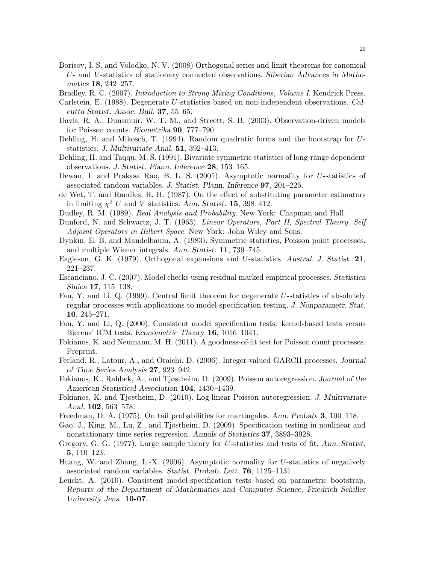- <span id="page-28-8"></span>Borisov, I. S. and Volodko, N. V. (2008) Orthogonal series and limit theorems for canonical U- and V -statistics of stationary connected observations. Siberian Advances in Mathematics 18, 242–257.
- <span id="page-28-7"></span><span id="page-28-1"></span>Bradley, R. C. (2007). Introduction to Strong Mixing Conditions, Volume I. Kendrick Press.
- Carlstein, E. (1988). Degenerate U-statistics based on non-independent observations. Calcutta Statist. Assoc. Bull. 37, 55–65.
- <span id="page-28-17"></span>Davis, R. A., Dunsmuir, W. T. M., and Streett, S. B. (2003). Observation-driven models for Poisson counts. Biometrika 90, 777–790.
- <span id="page-28-0"></span>Dehling, H. and Mikosch, T. (1994). Random quadratic forms and the bootstrap for Ustatistics. J. Multivariate Anal. 51, 392–413.
- <span id="page-28-2"></span>Dehling, H. and Taqqu, M. S. (1991). Bivariate symmetric statistics of long-range dependent observations. J. Statist. Plann. Inference 28, 153–165.
- <span id="page-28-9"></span>Dewan, I. and Prakasa Rao, B. L. S. (2001). Asymptotic normality for U-statistics of associated random variables. J. Statist. Plann. Inference 97, 201–225.
- <span id="page-28-12"></span>de Wet, T. and Randles, R. H. (1987). On the effect of substituting parameter estimators in limiting  $\chi^2$  U and V statistics. Ann. Statist. 15, 398-412.
- <span id="page-28-22"></span>Dudley, R. M. (1989). Real Analysis and Probability. New York: Chapman and Hall.
- <span id="page-28-4"></span>Dunford, N. and Schwartz, J. T. (1963). Linear Operators, Part II, Spectral Theory. Self Adjoint Operators in Hilbert Space. New York: John Wiley and Sons.
- <span id="page-28-11"></span>Dynkin, E. B. and Mandelbaum, A. (1983). Symmetric statistics, Poisson point processes, and multiple Wiener integrals. Ann. Statist. 11, 739–745.
- <span id="page-28-6"></span>Eagleson, G. K. (1979). Orthogonal expansions and U-statistics. Austral. J. Statist. 21, 221–237.
- <span id="page-28-13"></span>Escanciano, J. C. (2007). Model checks using residual marked empirical processes. Statistica Sinica 17, 115–138.
- <span id="page-28-14"></span>Fan, Y. and Li, Q. (1999). Central limit theorem for degenerate U-statistics of absolutely regular processes with applications to model specification testing. J. Nonparametr. Stat. 10, 245–271.
- <span id="page-28-15"></span>Fan, Y. and Li, Q. (2000). Consistent model specification tests: kernel-based tests versus Bierens' ICM tests. Econometric Theory 16, 1016–1041.
- <span id="page-28-3"></span>Fokianos, K. and Neumann, M. H. (2011). A goodness-of-fit test for Poisson count processes. Preprint.
- <span id="page-28-18"></span>Ferland, R., Latour, A., and Oraichi, D. (2006). Integer-valued GARCH processes. Journal of Time Series Analysis 27, 923–942.
- <span id="page-28-19"></span>Fokianos, K., Rahbek, A., and Tjøstheim, D. (2009). Poisson autoregression. Journal of the American Statistical Association 104, 1430–1439.
- <span id="page-28-21"></span>Fokianos, K. and Tjøstheim, D. (2010). Log-linear Poisson autoregression. J. Multivariate Anal. 102, 563–578.
- Freedman, D. A. (1975). On tail probabilities for martingales. Ann. Probab. 3, 100–118.
- <span id="page-28-20"></span>Gao, J., King, M., Lu, Z., and Tjøstheim, D. (2009). Specification testing in nonlinear and nonstationary time series regression. Annals of Statistics 37, 3893–3928.
- <span id="page-28-5"></span>Gregory, G. G. (1977). Large sample theory for U-statistics and tests of fit. Ann. Statist. 5, 110–123.
- <span id="page-28-10"></span>Huang, W. and Zhang, L.-X. (2006). Asymptotic normality for U-statistics of negatively associated random variables. Statist. Probab. Lett. 76, 1125–1131.
- <span id="page-28-16"></span>Leucht, A. (2010). Consistent model-specification tests based on parametric bootstrap. Reports of the Department of Mathematics and Computer Science, Friedrich Schiller University Jena 10-07.